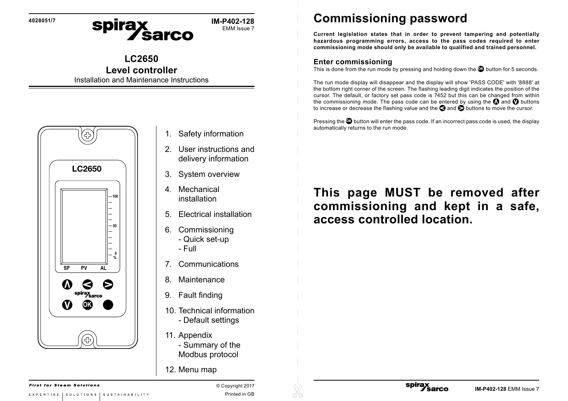**4028051/7**

spirax<br>Sarco **IM-P402-128** EMM Issue 7

## **LC2650**

## **Level controller**

Installation and Maintenance Instructions



- 1. Safety information
- 2. User instructions and delivery information
- 3. System overview
- 4. Mechanical installation
- 5. Electrical installation
- 6. Commissioning
	- Quick set-up
	- Full
- 7. Communications
- 8. Maintenance
- 9. Fault finding
- 10. Technical information - Default settings
- 11. Appendix - Summary of the Modbus protocol
- 12. Menu map

**Commissioning password**

**Current legislation states that in order to prevent tampering and potentially hazardous programming errors, access to the pass codes required to enter commissioning mode should only be available to qualified and trained personnel.**

## **Enter commissioning**

This is done from the run mode by pressing and holding down the **OK** button for 5 seconds.

The run mode display will disappear and the display will show 'PASS CODE' with '8888' at the bottom right corner of the screen. The flashing leading digit indicates the position of the cursor. The default, or factory set pass code is 7452 but this can be changed from within the commissioning mode. The pass code can be entered by using the  $\Omega$  and  $\Omega$  buttons to increase or decrease the flashing value and the  $\bigcirc$  and  $\bigcirc$  buttons to move the cursor.

Pressing the **<sup>O</sup>** button will enter the pass code. If an incorrect pass code is used, the display automatically returns to the run mode.

## **This page MUST be removed after commissioning and kept in a safe, access controlled location.**

spirax<br>
Sarco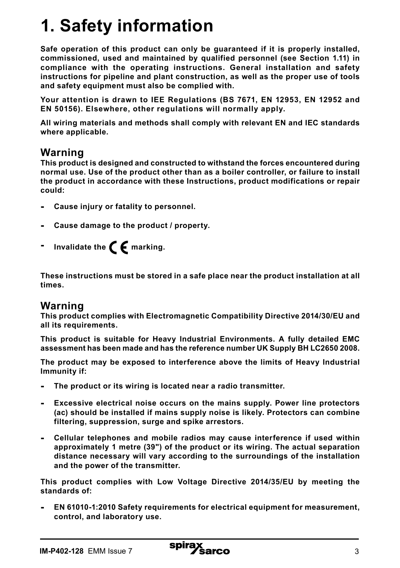## **1. Safety information**

**Safe operation of this product can only be guaranteed if it is properly installed, commissioned, used and maintained by qualified personnel (see Section 1.11) in compliance with the operating instructions. General installation and safety instructions for pipeline and plant construction, as well as the proper use of tools and safety equipment must also be complied with.**

**Your attention is drawn to IEE Regulations (BS 7671, EN 12953, EN 12952 and EN 50156). Elsewhere, other regulations will normally apply.**

**All wiring materials and methods shall comply with relevant EN and IEC standards where applicable.**

#### **Warning**

**This product is designed and constructed to withstand the forces encountered during normal use. Use of the product other than as a boiler controller, or failure to install the product in accordance with these Instructions, product modifications or repair could:**

- **- Cause injury or fatality to personnel.**
- **- Cause damage to the product / property.**
- **Invalidate the**  $\epsilon$  marking.

**These instructions must be stored in a safe place near the product installation at all times.** 

### **Warning**

**This product complies with Electromagnetic Compatibility Directive 2014/30/EU and all its requirements.**

**This product is suitable for Heavy Industrial Environments. A fully detailed EMC assessment has been made and has the reference number UK Supply BH LC2650 2008.**

**The product may be exposed to interference above the limits of Heavy Industrial Immunity if:**

- **- The product or its wiring is located near a radio transmitter.**
- **- Excessive electrical noise occurs on the mains supply. Power line protectors (ac) should be installed if mains supply noise is likely. Protectors can combine filtering, suppression, surge and spike arrestors.**
- **- Cellular telephones and mobile radios may cause interference if used within approximately 1 metre (39") of the product or its wiring. The actual separation distance necessary will vary according to the surroundings of the installation and the power of the transmitter.**

**This product complies with Low Voltage Directive 2014/35/EU by meeting the standards of:**

**- EN 61010-1:2010 Safety requirements for electrical equipment for measurement, control, and laboratory use.**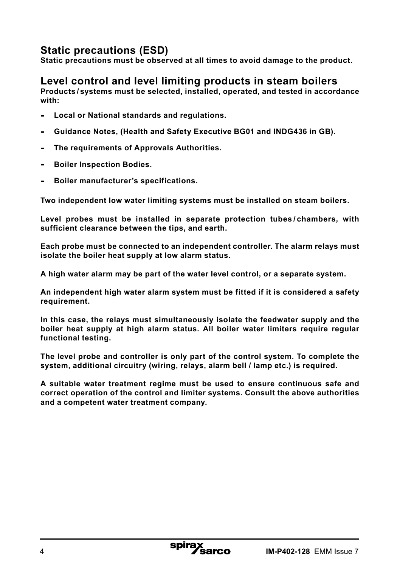## **Static precautions (ESD)**

**Static precautions must be observed at all times to avoid damage to the product.**

## **Level control and level limiting products in steam boilers**

**Products / systems must be selected, installed, operated, and tested in accordance with:**

- **- Local or National standards and regulations.**
- **- Guidance Notes, (Health and Safety Executive BG01 and INDG436 in GB).**
- **- The requirements of Approvals Authorities.**
- **- Boiler Inspection Bodies.**
- **- Boiler manufacturer's specifications.**

**Two independent low water limiting systems must be installed on steam boilers.**

**Level probes must be installed in separate protection tubes / chambers, with sufficient clearance between the tips, and earth.**

**Each probe must be connected to an independent controller. The alarm relays must isolate the boiler heat supply at low alarm status.**

**A high water alarm may be part of the water level control, or a separate system.** 

**An independent high water alarm system must be fitted if it is considered a safety requirement.**

**In this case, the relays must simultaneously isolate the feedwater supply and the boiler heat supply at high alarm status. All boiler water limiters require regular functional testing.**

**The level probe and controller is only part of the control system. To complete the system, additional circuitry (wiring, relays, alarm bell / lamp etc.) is required.** 

**A suitable water treatment regime must be used to ensure continuous safe and correct operation of the control and limiter systems. Consult the above authorities and a competent water treatment company.**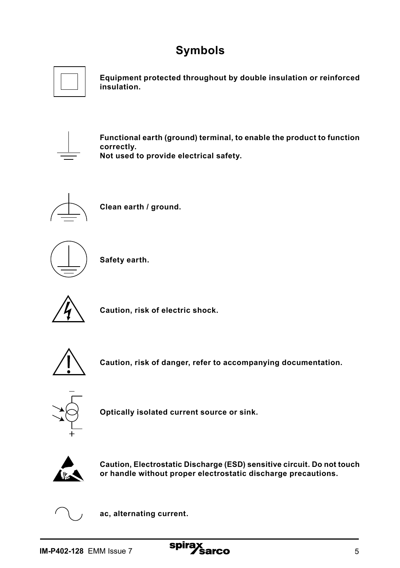## **Symbols**



**Equipment protected throughout by double insulation or reinforced insulation.**



**Functional earth (ground) terminal, to enable the product to function correctly. Not used to provide electrical safety.**



**Clean earth / ground.**



**Safety earth.**



**Caution, risk of electric shock.**



**Caution, risk of danger, refer to accompanying documentation.**



**Optically isolated current source or sink.**



**Caution, Electrostatic Discharge (ESD) sensitive circuit. Do not touch or handle without proper electrostatic discharge precautions.** 



**ac, alternating current.**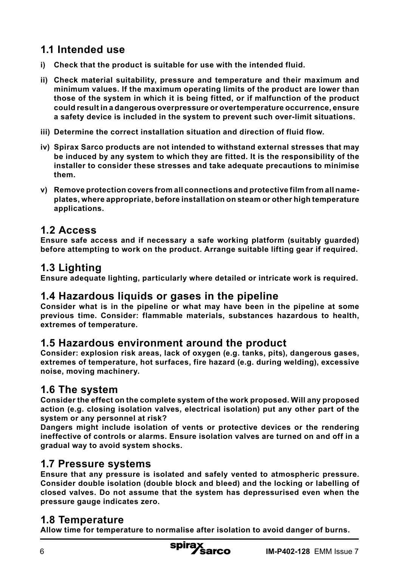## **1.1 Intended use**

- **i) Check that the product is suitable for use with the intended fluid.**
- **ii) Check material suitability, pressure and temperature and their maximum and minimum values. If the maximum operating limits of the product are lower than those of the system in which it is being fitted, or if malfunction of the product could result in a dangerous overpressure or overtemperature occurrence, ensure a safety device is included in the system to prevent such over-limit situations.**
- **iii) Determine the correct installation situation and direction of fluid flow.**
- **iv) Spirax Sarco products are not intended to withstand external stresses that may be induced by any system to which they are fitted. It is the responsibility of the installer to consider these stresses and take adequate precautions to minimise them.**
- **v) Remove protection covers from all connections and protective film from all nameplates, where appropriate, before installation on steam or other high temperature applications.**

## **1.2 Access**

**Ensure safe access and if necessary a safe working platform (suitably guarded) before attempting to work on the product. Arrange suitable lifting gear if required.**

## **1.3 Lighting**

**Ensure adequate lighting, particularly where detailed or intricate work is required.**

## **1.4 Hazardous liquids or gases in the pipeline**

**Consider what is in the pipeline or what may have been in the pipeline at some previous time. Consider: flammable materials, substances hazardous to health, extremes of temperature.**

#### **1.5 Hazardous environment around the product**

**Consider: explosion risk areas, lack of oxygen (e.g. tanks, pits), dangerous gases, extremes of temperature, hot surfaces, fire hazard (e.g. during welding), excessive noise, moving machinery.**

## **1.6 The system**

**Consider the effect on the complete system of the work proposed. Will any proposed action (e.g. closing isolation valves, electrical isolation) put any other part of the system or any personnel at risk?** 

**Dangers might include isolation of vents or protective devices or the rendering ineffective of controls or alarms. Ensure isolation valves are turned on and off in a gradual way to avoid system shocks.**

### **1.7 Pressure systems**

**Ensure that any pressure is isolated and safely vented to atmospheric pressure. Consider double isolation (double block and bleed) and the locking or labelling of closed valves. Do not assume that the system has depressurised even when the pressure gauge indicates zero.**

### **1.8 Temperature**

**Allow time for temperature to normalise after isolation to avoid danger of burns.**

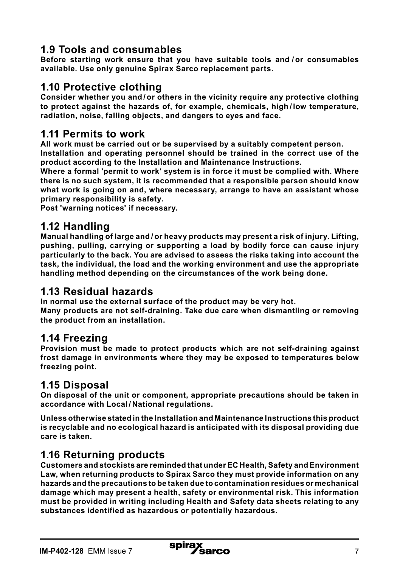## **1.9 Tools and consumables**

**Before starting work ensure that you have suitable tools and / or consumables available. Use only genuine Spirax Sarco replacement parts.**

### **1.10 Protective clothing**

**Consider whether you and / or others in the vicinity require any protective clothing to protect against the hazards of, for example, chemicals, high / low temperature, radiation, noise, falling objects, and dangers to eyes and face.**

### **1.11 Permits to work**

**All work must be carried out or be supervised by a suitably competent person. Installation and operating personnel should be trained in the correct use of the product according to the Installation and Maintenance Instructions.**

**Where a formal 'permit to work' system is in force it must be complied with. Where there is no such system, it is recommended that a responsible person should know what work is going on and, where necessary, arrange to have an assistant whose primary responsibility is safety.**

**Post 'warning notices' if necessary.**

### **1.12 Handling**

**Manual handling of large and / or heavy products may present a risk of injury. Lifting, pushing, pulling, carrying or supporting a load by bodily force can cause injury particularly to the back. You are advised to assess the risks taking into account the task, the individual, the load and the working environment and use the appropriate handling method depending on the circumstances of the work being done.**

### **1.13 Residual hazards**

**In normal use the external surface of the product may be very hot.** 

**Many products are not self-draining. Take due care when dismantling or removing the product from an installation.**

### **1.14 Freezing**

**Provision must be made to protect products which are not self-draining against frost damage in environments where they may be exposed to temperatures below freezing point.**

## **1.15 Disposal**

**On disposal of the unit or component, appropriate precautions should be taken in accordance with Local / National regulations.**

**Unless otherwise stated in the Installation and Maintenance Instructions this product is recyclable and no ecological hazard is anticipated with its disposal providing due care is taken.**

## **1.16 Returning products**

**Customers and stockists are reminded that under EC Health, Safety and Environment Law, when returning products to Spirax Sarco they must provide information on any hazards and the precautions to be taken due to contamination residues or mechanical damage which may present a health, safety or environmental risk. This information must be provided in writing including Health and Safety data sheets relating to any substances identified as hazardous or potentially hazardous.**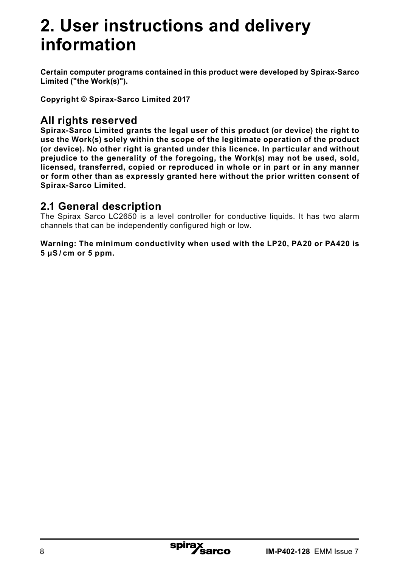## **2. User instructions and delivery information**

**Certain computer programs contained in this product were developed by Spirax-Sarco Limited ("the Work(s)").**

**Copyright © Spirax-Sarco Limited 2017**

## **All rights reserved**

**Spirax-Sarco Limited grants the legal user of this product (or device) the right to use the Work(s) solely within the scope of the legitimate operation of the product (or device). No other right is granted under this licence. In particular and without prejudice to the generality of the foregoing, the Work(s) may not be used, sold, licensed, transferred, copied or reproduced in whole or in part or in any manner or form other than as expressly granted here without the prior written consent of Spirax-Sarco Limited.**

## **2.1 General description**

The Spirax Sarco LC2650 is a level controller for conductive liquids. It has two alarm channels that can be independently configured high or low.

**Warning: The minimum conductivity when used with the LP20, PA20 or PA420 is 5 μS / cm or 5 ppm.**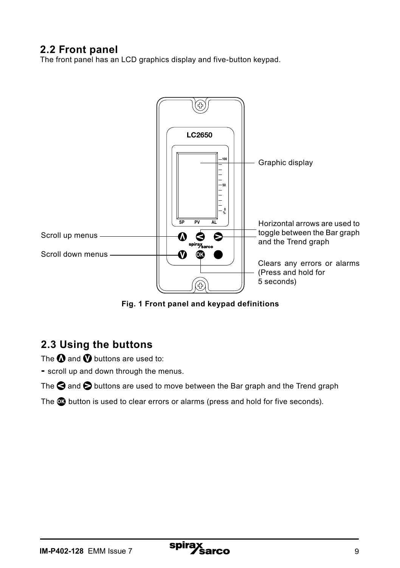## **2.2 Front panel**

The front panel has an LCD graphics display and five-button keypad.



**Fig. 1 Front panel and keypad definitions**

## **2.3 Using the buttons**

The  $\Omega$  and  $\Omega$  buttons are used to:

**-** scroll up and down through the menus.

The  $\bigcirc$  and  $\bigcirc$  buttons are used to move between the Bar graph and the Trend graph

The **OK** button is used to clear errors or alarms (press and hold for five seconds).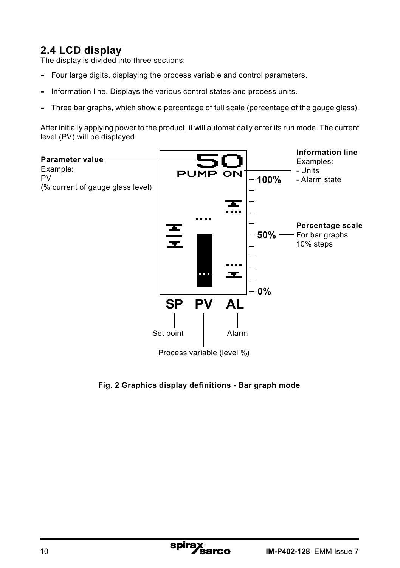## **2.4 LCD display**

The display is divided into three sections:

- Four large digits, displaying the process variable and control parameters.
- Information line. Displays the various control states and process units.
- Three bar graphs, which show a percentage of full scale (percentage of the gauge glass).

After initially applying power to the product, it will automatically enter its run mode. The current level (PV) will be displayed.



**Fig. 2 Graphics display definitions - Bar graph mode**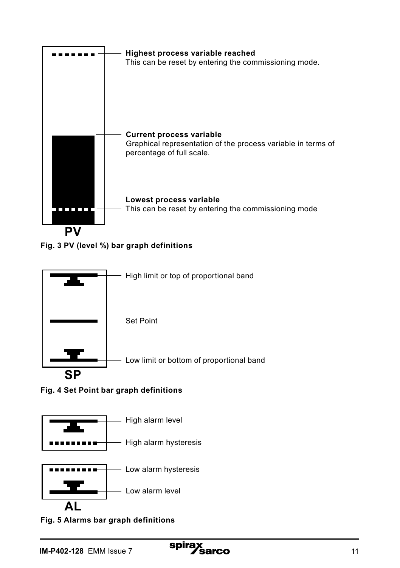









**AL Fig. 5 Alarms bar graph definitions**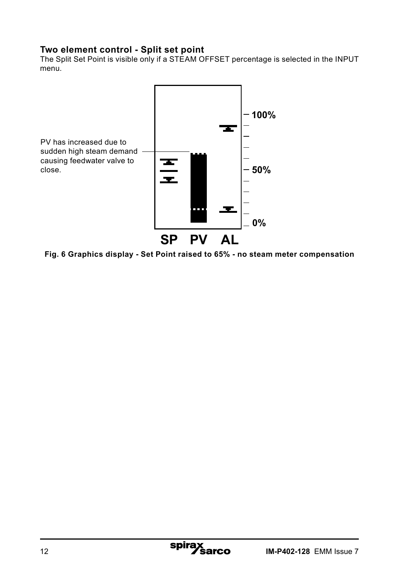#### **Two element control - Split set point**

The Split Set Point is visible only if a STEAM OFFSET percentage is selected in the INPUT menu.



**Fig. 6 Graphics display - Set Point raised to 65% - no steam meter compensation**

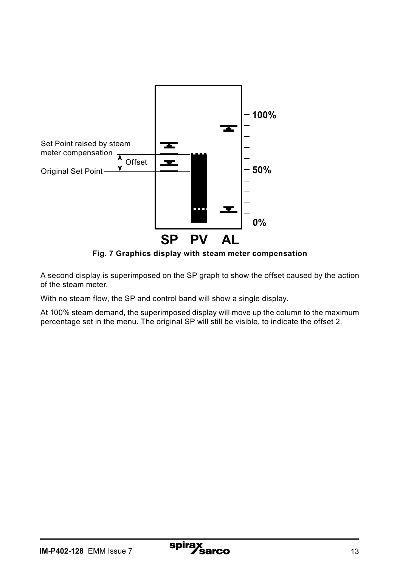

**Fig. 7 Graphics display with steam meter compensation**

A second display is superimposed on the SP graph to show the offset caused by the action of the steam meter.

With no steam flow, the SP and control band will show a single display.

At 100% steam demand, the superimposed display will move up the column to the maximum percentage set in the menu. The original SP will still be visible, to indicate the offset 2.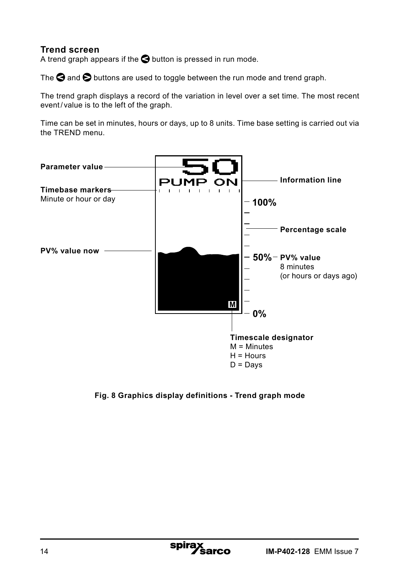#### **Trend screen**

A trend graph appears if the  $\bigcirc$  button is pressed in run mode.

The  $\bigcirc$  and  $\bigcirc$  buttons are used to toggle between the run mode and trend graph.

The trend graph displays a record of the variation in level over a set time. The most recent event/value is to the left of the graph.

Time can be set in minutes, hours or days, up to 8 units. Time base setting is carried out via the TREND menu.



**Fig. 8 Graphics display definitions - Trend graph mode**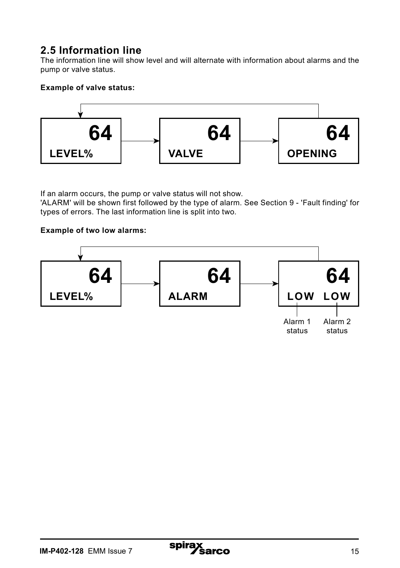## **2.5 Information line**

The information line will show level and will alternate with information about alarms and the pump or valve status.

#### **Example of valve status:**



If an alarm occurs, the pump or valve status will not show.

'ALARM' will be shown first followed by the type of alarm. See Section 9 - 'Fault finding' for types of errors. The last information line is split into two.

#### **Example of two low alarms:**

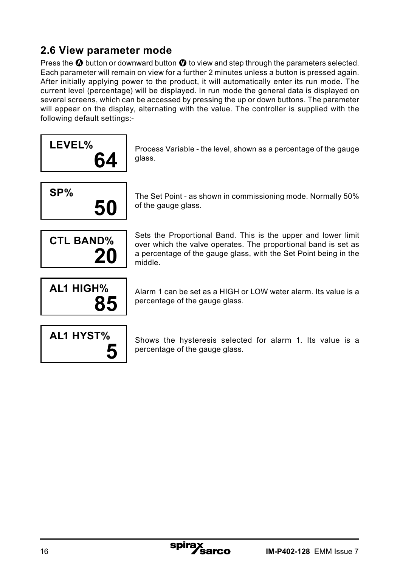## **2.6 View parameter mode**

Press the  $\Omega$  button or downward button  $\Omega$  to view and step through the parameters selected. Each parameter will remain on view for a further 2 minutes unless a button is pressed again. After initially applying power to the product, it will automatically enter its run mode. The current level (percentage) will be displayed. In run mode the general data is displayed on several screens, which can be accessed by pressing the up or down buttons. The parameter will appear on the display, alternating with the value. The controller is supplied with the following default settings:-

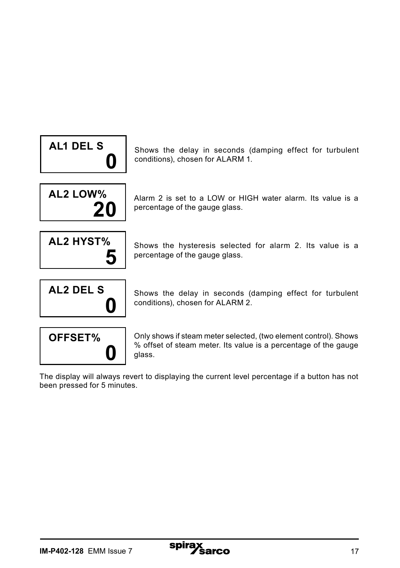

Shows the delay in seconds (damping effect for turbulent conditions), chosen for ALARM 1.



Alarm 2 is set to a LOW or HIGH water alarm. Its value is a percentage of the gauge glass.



Shows the hysteresis selected for alarm 2. Its value is a percentage of the gauge glass.







Only shows if steam meter selected, (two element control). Shows % offset of steam meter. Its value is a percentage of the gauge glass.

The display will always revert to displaying the current level percentage if a button has not been pressed for 5 minutes.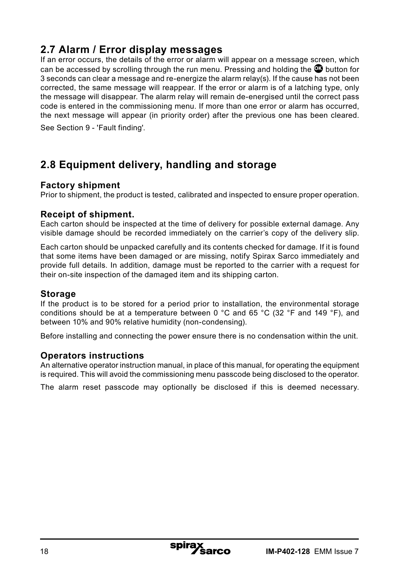## **2.7 Alarm / Error display messages**

If an error occurs, the details of the error or alarm will appear on a message screen, which can be accessed by scrolling through the run menu. Pressing and holding the **O**C button for 3 seconds can clear a message and re-energize the alarm relay(s). If the cause has not been corrected, the same message will reappear. If the error or alarm is of a latching type, only the message will disappear. The alarm relay will remain de-energised until the correct pass code is entered in the commissioning menu. If more than one error or alarm has occurred, the next message will appear (in priority order) after the previous one has been cleared. See Section 9 - 'Fault finding'.

## **2.8 Equipment delivery, handling and storage**

#### **Factory shipment**

Prior to shipment, the product is tested, calibrated and inspected to ensure proper operation.

#### **Receipt of shipment.**

Each carton should be inspected at the time of delivery for possible external damage. Any visible damage should be recorded immediately on the carrier's copy of the delivery slip.

Each carton should be unpacked carefully and its contents checked for damage. If it is found that some items have been damaged or are missing, notify Spirax Sarco immediately and provide full details. In addition, damage must be reported to the carrier with a request for their on-site inspection of the damaged item and its shipping carton.

#### **Storage**

If the product is to be stored for a period prior to installation, the environmental storage conditions should be at a temperature between 0 °C and 65 °C (32 °F and 149 °F), and between 10% and 90% relative humidity (non-condensing).

Before installing and connecting the power ensure there is no condensation within the unit.

#### **Operators instructions**

An alternative operator instruction manual, in place of this manual, for operating the equipment is required. This will avoid the commissioning menu passcode being disclosed to the operator.

The alarm reset passcode may optionally be disclosed if this is deemed necessary.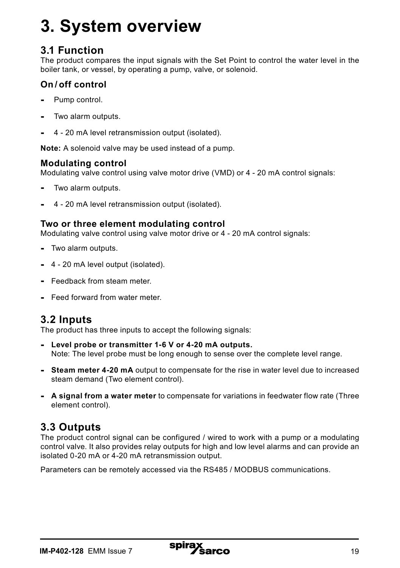## **3. System overview**

## **3.1 Function**

The product compares the input signals with the Set Point to control the water level in the boiler tank, or vessel, by operating a pump, valve, or solenoid.

### **On / off control**

- Pump control.
- Two alarm outputs.
- 4 20 mA level retransmission output (isolated).

**Note:** A solenoid valve may be used instead of a pump.

#### **Modulating control**

Modulating valve control using valve motor drive (VMD) or 4 - 20 mA control signals:

- Two alarm outputs.
- 4 20 mA level retransmission output (isolated).

#### **Two or three element modulating control**

Modulating valve control using valve motor drive or 4 - 20 mA control signals:

- Two alarm outputs.
- 4 20 mA level output (isolated).
- Feedback from steam meter.
- Feed forward from water meter.

## **3.2 Inputs**

The product has three inputs to accept the following signals:

- **Level probe or transmitter 1-6 V or 4-20 mA outputs.** Note: The level probe must be long enough to sense over the complete level range.
- **Steam meter 4-20 mA** output to compensate for the rise in water level due to increased steam demand (Two element control).
- **A signal from a water meter** to compensate for variations in feedwater flow rate (Three element control).

## **3.3 Outputs**

The product control signal can be configured / wired to work with a pump or a modulating control valve. It also provides relay outputs for high and low level alarms and can provide an isolated 0-20 mA or 4-20 mA retransmission output.

Parameters can be remotely accessed via the RS485 / MODBUS communications.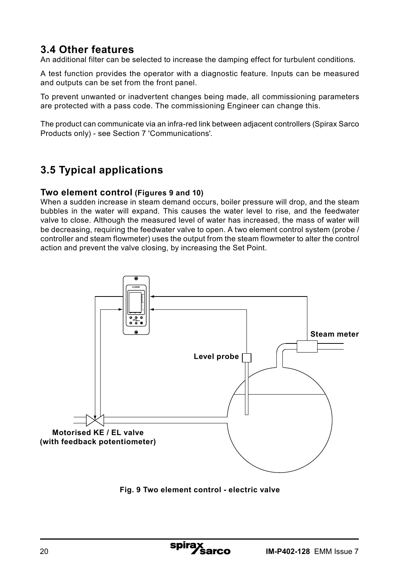## **3.4 Other features**

An additional filter can be selected to increase the damping effect for turbulent conditions.

A test function provides the operator with a diagnostic feature. Inputs can be measured and outputs can be set from the front panel.

To prevent unwanted or inadvertent changes being made, all commissioning parameters are protected with a pass code. The commissioning Engineer can change this.

The product can communicate via an infra-red link between adjacent controllers (Spirax Sarco Products only) - see Section 7 'Communications'.

## **3.5 Typical applications**

#### **Two element control (Figures 9 and 10)**

When a sudden increase in steam demand occurs, boiler pressure will drop, and the steam bubbles in the water will expand. This causes the water level to rise, and the feedwater valve to close. Although the measured level of water has increased, the mass of water will be decreasing, requiring the feedwater valve to open. A two element control system (probe / controller and steam flowmeter) uses the output from the steam flowmeter to alter the control action and prevent the valve closing, by increasing the Set Point.



**Fig. 9 Two element control - electric valve**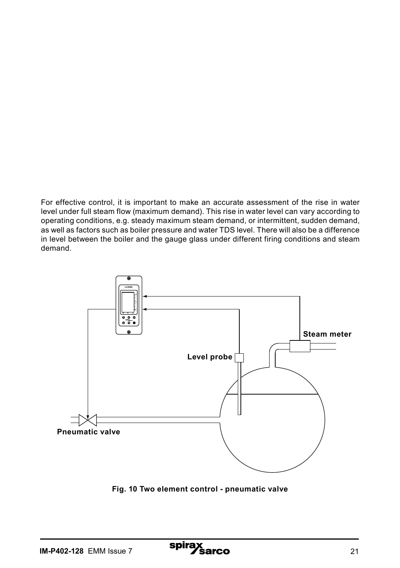For effective control, it is important to make an accurate assessment of the rise in water level under full steam flow (maximum demand). This rise in water level can vary according to operating conditions, e.g. steady maximum steam demand, or intermittent, sudden demand, as well as factors such as boiler pressure and water TDS level. There will also be a difference in level between the boiler and the gauge glass under different firing conditions and steam demand.



**Fig. 10 Two element control - pneumatic valve**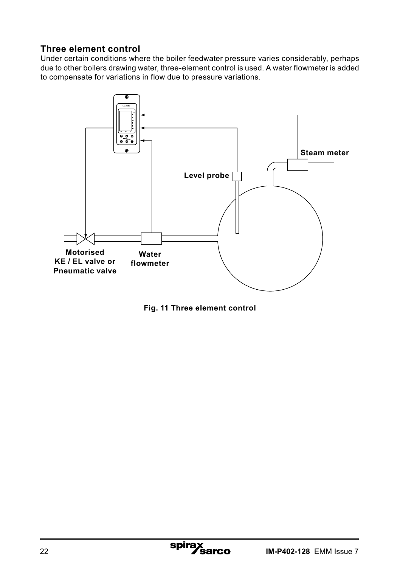#### **Three element control**

Under certain conditions where the boiler feedwater pressure varies considerably, perhaps due to other boilers drawing water, three-element control is used. A water flowmeter is added to compensate for variations in flow due to pressure variations.



**Fig. 11 Three element control**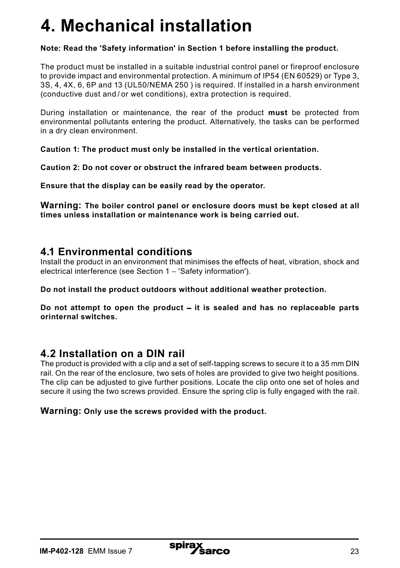## **4. Mechanical installation**

#### **Note: Read the 'Safety information' in Section 1 before installing the product.**

The product must be installed in a suitable industrial control panel or fireproof enclosure to provide impact and environmental protection. A minimum of IP54 (EN 60529) or Type 3, 3S, 4, 4X, 6, 6P and 13 (UL50/NEMA 250 ) is required. If installed in a harsh environment (conductive dust and / or wet conditions), extra protection is required.

During installation or maintenance, the rear of the product **must** be protected from environmental pollutants entering the product. Alternatively, the tasks can be performed in a dry clean environment.

**Caution 1: The product must only be installed in the vertical orientation.**

**Caution 2: Do not cover or obstruct the infrared beam between products.**

**Ensure that the display can be easily read by the operator.**

**Warning: The boiler control panel or enclosure doors must be kept closed at all times unless installation or maintenance work is being carried out.**

### **4.1 Environmental conditions**

Install the product in an environment that minimises the effects of heat, vibration, shock and electrical interference (see Section 1 - 'Safety information').

**Do not install the product outdoors without additional weather protection.**

**Do not attempt to open the product** - **it is sealed and has no replaceable parts orinternal switches.**

### **4.2 Installation on a DIN rail**

The product is provided with a clip and a set of self-tapping screws to secure it to a 35 mm DIN rail. On the rear of the enclosure, two sets of holes are provided to give two height positions. The clip can be adjusted to give further positions. Locate the clip onto one set of holes and secure it using the two screws provided. Ensure the spring clip is fully engaged with the rail.

#### **Warning: Only use the screws provided with the product.**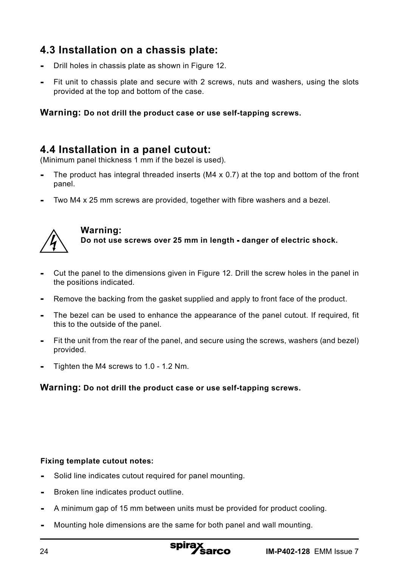## **4.3 Installation on a chassis plate:**

- Drill holes in chassis plate as shown in Figure 12.
- Fit unit to chassis plate and secure with 2 screws, nuts and washers, using the slots provided at the top and bottom of the case.

#### **Warning: Do not drill the product case or use self-tapping screws.**

### **4.4 Installation in a panel cutout:**

(Minimum panel thickness 1 mm if the bezel is used).

- The product has integral threaded inserts (M4 x 0.7) at the top and bottom of the front panel.
- Two M4 x 25 mm screws are provided, together with fibre washers and a bezel.



#### **Warning: Do not use screws over 25 mm in length - danger of electric shock.**

- Cut the panel to the dimensions given in Figure 12. Drill the screw holes in the panel in the positions indicated.
- Remove the backing from the gasket supplied and apply to front face of the product.
- The bezel can be used to enhance the appearance of the panel cutout. If required, fit this to the outside of the panel.
- Fit the unit from the rear of the panel, and secure using the screws, washers (and bezel) provided.
- Tighten the M4 screws to 1.0 1.2 Nm.

#### **Warning: Do not drill the product case or use self-tapping screws.**

#### **Fixing template cutout notes:**

- Solid line indicates cutout required for panel mounting.
- Broken line indicates product outline.
- A minimum gap of 15 mm between units must be provided for product cooling.
- Mounting hole dimensions are the same for both panel and wall mounting.

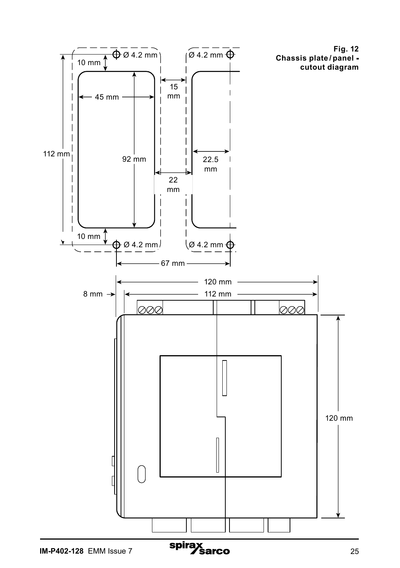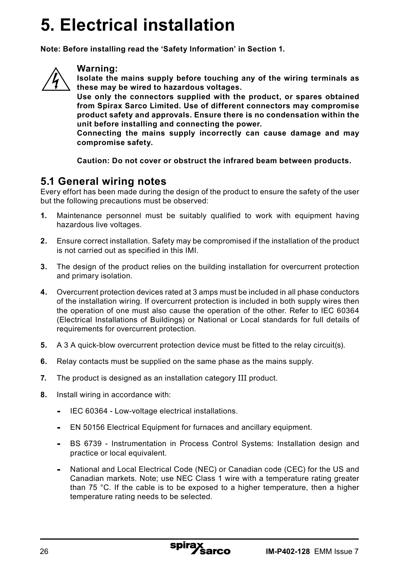## **5. Electrical installation**

**Note: Before installing read the 'Safety Information' in Section 1.**



#### **Warning:**

**Isolate the mains supply before touching any of the wiring terminals as these may be wired to hazardous voltages.**

**Use only the connectors supplied with the product, or spares obtained from Spirax Sarco Limited. Use of different connectors may compromise product safety and approvals. Ensure there is no condensation within the unit before installing and connecting the power.**

**Connecting the mains supply incorrectly can cause damage and may compromise safety.**

**Caution: Do not cover or obstruct the infrared beam between products.**

#### **5.1 General wiring notes**

Every effort has been made during the design of the product to ensure the safety of the user but the following precautions must be observed:

- **1.** Maintenance personnel must be suitably qualified to work with equipment having hazardous live voltages.
- **2.** Ensure correct installation. Safety may be compromised if the installation of the product is not carried out as specified in this IMI.
- **3.** The design of the product relies on the building installation for overcurrent protection and primary isolation.
- **4.** Overcurrent protection devices rated at 3 amps must be included in all phase conductors of the installation wiring. If overcurrent protection is included in both supply wires then the operation of one must also cause the operation of the other. Refer to IEC 60364 (Electrical Installations of Buildings) or National or Local standards for full details of requirements for overcurrent protection.
- **5.** A 3 A quick-blow overcurrent protection device must be fitted to the relay circuit(s).
- **6.** Relay contacts must be supplied on the same phase as the mains supply.
- **7.** The product is designed as an installation category III product.
- **8.** Install wiring in accordance with:
	- **-** IEC 60364 Low-voltage electrical installations.
	- **-** EN 50156 Electrical Equipment for furnaces and ancillary equipment.
	- **-** BS 6739 Instrumentation in Process Control Systems: Installation design and practice or local equivalent.
	- **-** National and Local Electrical Code (NEC) or Canadian code (CEC) for the US and Canadian markets. Note; use NEC Class 1 wire with a temperature rating greater than 75 °C. If the cable is to be exposed to a higher temperature, then a higher temperature rating needs to be selected.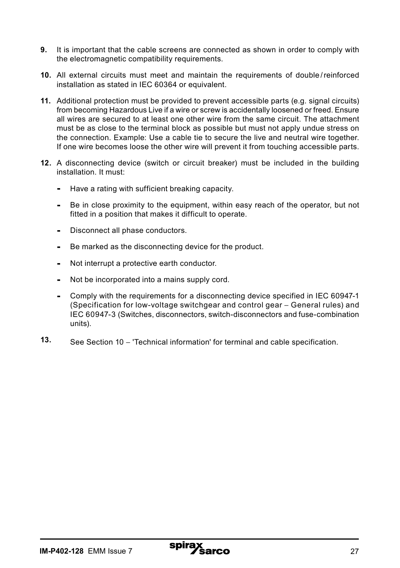- **9.** It is important that the cable screens are connected as shown in order to comply with the electromagnetic compatibility requirements.
- **10.** All external circuits must meet and maintain the requirements of double /reinforced installation as stated in IEC 60364 or equivalent.
- **11.** Additional protection must be provided to prevent accessible parts (e.g. signal circuits) from becoming Hazardous Live if a wire or screw is accidentally loosened or freed. Ensure all wires are secured to at least one other wire from the same circuit. The attachment must be as close to the terminal block as possible but must not apply undue stress on the connection. Example: Use a cable tie to secure the live and neutral wire together. If one wire becomes loose the other wire will prevent it from touching accessible parts.
- **12.** A disconnecting device (switch or circuit breaker) must be included in the building installation. It must:
	- **-** Have a rating with sufficient breaking capacity.
	- **-** Be in close proximity to the equipment, within easy reach of the operator, but not fitted in a position that makes it difficult to operate.
	- **-** Disconnect all phase conductors.
	- **-** Be marked as the disconnecting device for the product.
	- **-** Not interrupt a protective earth conductor.
	- **-** Not be incorporated into a mains supply cord.
	- **-** Comply with the requirements for a disconnecting device specified in IEC 60947-1 (Specification for low-voltage switchgear and control gear - General rules) and IEC 60947-3 (Switches, disconnectors, switch-disconnectors and fuse-combination units).
- **13.** See Section 10 'Technical information' for terminal and cable specification.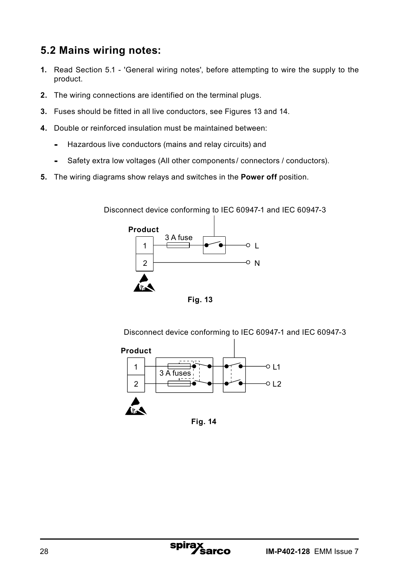## **5.2 Mains wiring notes:**

- **1.** Read Section 5.1 'General wiring notes', before attempting to wire the supply to the product.
- **2.** The wiring connections are identified on the terminal plugs.
- **3.** Fuses should be fitted in all live conductors, see Figures 13 and 14.
- **4.** Double or reinforced insulation must be maintained between:
	- **-** Hazardous live conductors (mains and relay circuits) and
	- **-** Safety extra low voltages (All other components / connectors / conductors).
- **5.** The wiring diagrams show relays and switches in the **Power off** position.

1 2 L o N 3 A fuse **Product** Disconnect device conforming to IEC 60947-1 and IEC 60947-3

**Fig. 13**

Disconnect device conforming to IEC 60947-1 and IEC 60947-3



**Fig. 14**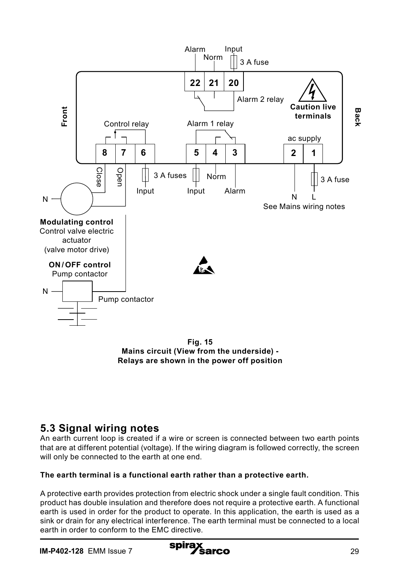

**Fig. 15 Mains circuit (View from the underside) - Relays are shown in the power off position**

## **5.3 Signal wiring notes**

An earth current loop is created if a wire or screen is connected between two earth points that are at different potential (voltage). If the wiring diagram is followed correctly, the screen will only be connected to the earth at one end.

#### **The earth terminal is a functional earth rather than a protective earth.**

A protective earth provides protection from electric shock under a single fault condition. This product has double insulation and therefore does not require a protective earth. A functional earth is used in order for the product to operate. In this application, the earth is used as a sink or drain for any electrical interference. The earth terminal must be connected to a local earth in order to conform to the EMC directive.

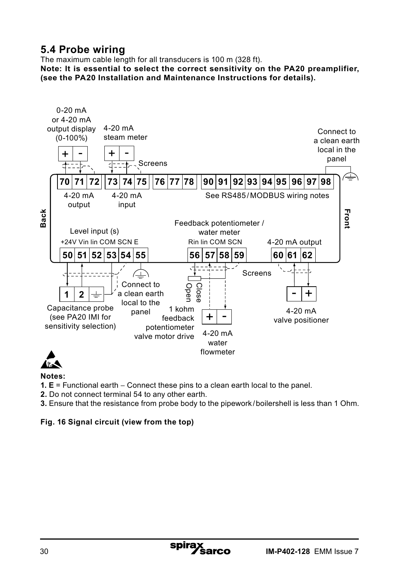## **5.4 Probe wiring**

The maximum cable length for all transducers is 100 m (328 ft).

**Note: It is essential to select the correct sensitivity on the PA20 preamplifier, (see the PA20 Installation and Maintenance Instructions for details).**





#### **Notes:**

**1. E** = Functional earth – Connect these pins to a clean earth local to the panel.

spira

**2.** Do not connect terminal 54 to any other earth.

**3.** Ensure that the resistance from probe body to the pipework/boilershell is less than 1 Ohm.

#### **Fig. 16 Signal circuit (view from the top)**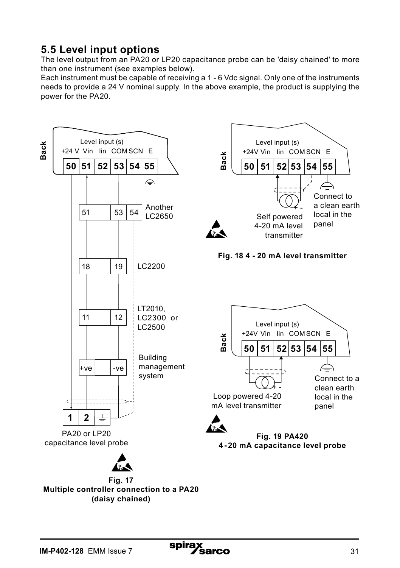## **5.5 Level input options**

The level output from an PA20 or LP20 capacitance probe can be 'daisy chained' to more than one instrument (see examples below).

Each instrument must be capable of receiving a 1 - 6 Vdc signal. Only one of the instruments needs to provide a 24 V nominal supply. In the above example, the product is supplying the power for the PA20.



spira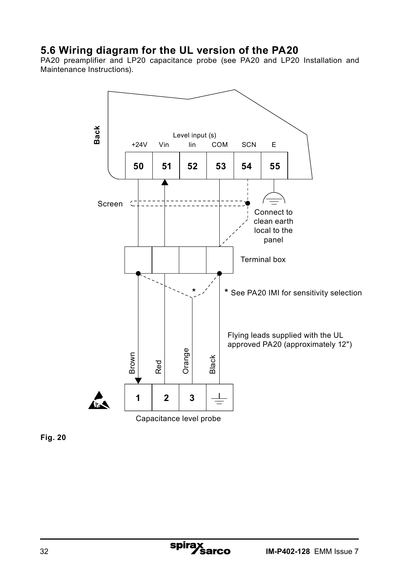## **5.6 Wiring diagram for the UL version of the PA20**

PA20 preamplifier and LP20 capacitance probe (see PA20 and LP20 Installation and Maintenance Instructions).



**Fig. 20**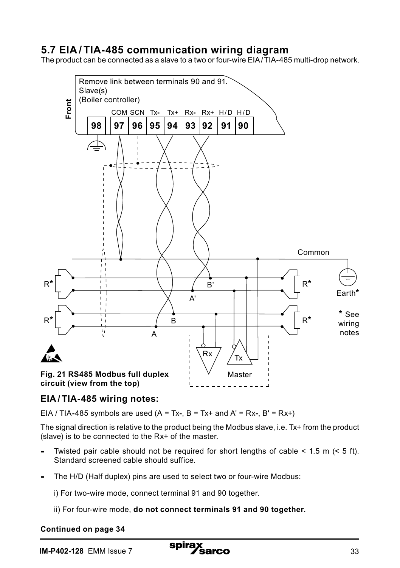## **5.7 EIA / TIA-485 communication wiring diagram**

The product can be connected as a slave to a two or four-wire EIA/TIA-485 multi-drop network.



#### **EIA / TIA-485 wiring notes:**

EIA / TIA**-**485 symbols are used (A = Tx**-**, B = Tx+ and A' = Rx**-**, B' = Rx+)

The signal direction is relative to the product being the Modbus slave, i.e. Tx+ from the product (slave) is to be connected to the Rx+ of the master.

- Twisted pair cable should not be required for short lengths of cable < 1.5 m (< 5 ft). Standard screened cable should suffice.
- The H/D (Half duplex) pins are used to select two or four-wire Modbus:

i) For two-wire mode, connect terminal 91 and 90 together.

ii) For four-wire mode, **do not connect terminals 91 and 90 together.**

#### **Continued on page 34**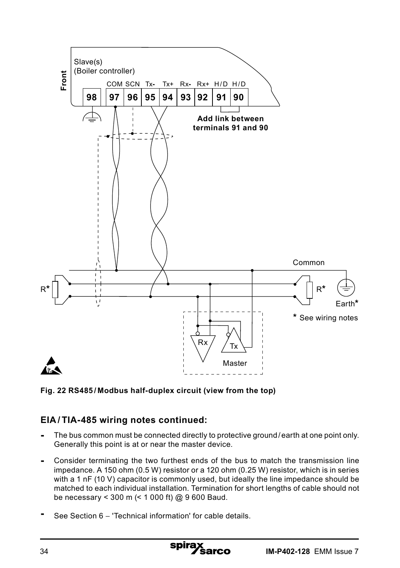

**Fig. 22 RS485 / Modbus half-duplex circuit (view from the top)**

## **EIA / TIA-485 wiring notes continued:**

- The bus common must be connected directly to protective ground/earth at one point only. Generally this point is at or near the master device.
- Consider terminating the two furthest ends of the bus to match the transmission line impedance. A 150 ohm (0.5 W) resistor or a 120 ohm (0.25 W) resistor, which is in series with a 1 nF (10 V) capacitor is commonly used, but ideally the line impedance should be matched to each individual installation. Termination for short lengths of cable should not be necessary < 300 m (< 1 000 ft) @ 9 600 Baud.
- See Section 6 'Technical information' for cable details.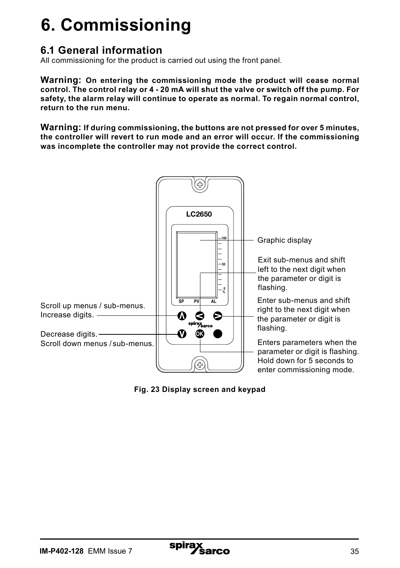## **6. Commissioning**

## **6.1 General information**

All commissioning for the product is carried out using the front panel.

**Warning: On entering the commissioning mode the product will cease normal control. The control relay or 4 - 20 mA will shut the valve or switch off the pump. For safety, the alarm relay will continue to operate as normal. To regain normal control, return to the run menu.**

**Warning: If during commissioning, the buttons are not pressed for over 5 minutes, the controller will revert to run mode and an error will occur. If the commissioning was incomplete the controller may not provide the correct control.**



**Fig. 23 Display screen and keypad**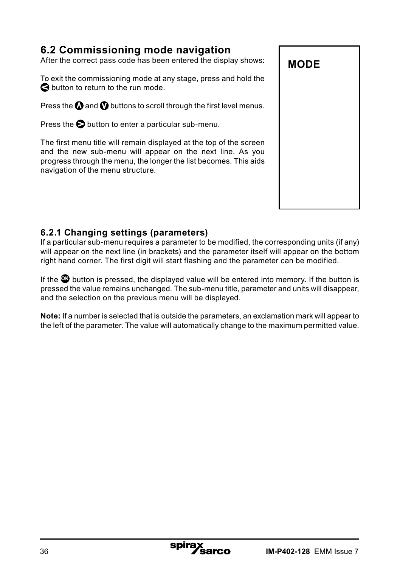## **6.2 Commissioning mode navigation**

After the correct pass code has been entered the display shows:

To exit the commissioning mode at any stage, press and hold the  $\bigcirc$  button to return to the run mode.

Press the  $\Omega$  and  $\Omega$  buttons to scroll through the first level menus.

Press the  $\bigcirc$  button to enter a particular sub-menu.

The first menu title will remain displayed at the top of the screen and the new sub-menu will appear on the next line. As you progress through the menu, the longer the list becomes. This aids navigation of the menu structure.



#### **6.2.1 Changing settings (parameters)**

If a particular sub-menu requires a parameter to be modified, the corresponding units (if any) will appear on the next line (in brackets) and the parameter itself will appear on the bottom right hand corner. The first digit will start flashing and the parameter can be modified.

If the **OK** button is pressed, the displayed value will be entered into memory. If the button is pressed the value remains unchanged. The sub-menu title, parameter and units will disappear, and the selection on the previous menu will be displayed.

**Note:** If a number is selected that is outside the parameters, an exclamation mark will appear to the left of the parameter. The value will automatically change to the maximum permitted value.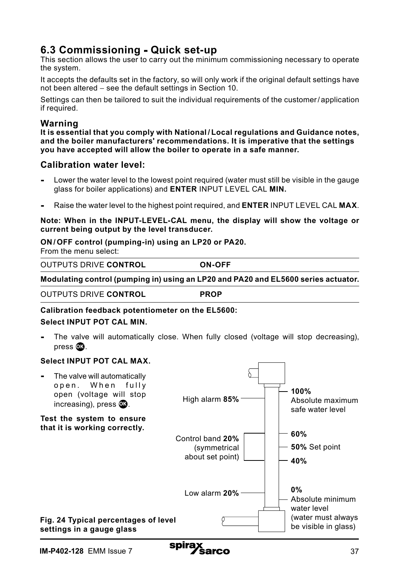## **6.3 Commissioning - Quick set-up**

This section allows the user to carry out the minimum commissioning necessary to operate the system.

It accepts the defaults set in the factory, so will only work if the original default settings have not been altered - see the default settings in Section 10.

Settings can then be tailored to suit the individual requirements of the customer/ application if required.

#### **Warning**

**It is essential that you comply with National / Local regulations and Guidance notes, and the boiler manufacturers' recommendations. It is imperative that the settings you have accepted will allow the boiler to operate in a safe manner.**

#### **Calibration water level:**

- Lower the water level to the lowest point required (water must still be visible in the gauge glass for boiler applications) and **ENTER** INPUT LEVEL CAL **MIN.**
- Raise the water level to the highest point required, and **ENTER** INPUT LEVEL CAL **MAX**.

#### **Note: When in the INPUT-LEVEL-CAL menu, the display will show the voltage or current being output by the level transducer.**

#### **ON / OFF control (pumping-in) using an LP20 or PA20.**

From the menu select:

| <b>OUTPUTS DRIVE CONTROL</b> | <b>ON-OFF</b> |
|------------------------------|---------------|
|------------------------------|---------------|

**Modulating control (pumping in) using an LP20 and PA20 and EL5600 series actuator.** 

OUTPUTS DRIVE **CONTROL PROP**

#### **Calibration feedback potentiometer on the EL5600:**

#### **Select INPUT POT CAL MIN.**

**-** The valve will automatically close. When fully closed (voltage will stop decreasing), press **OK** .

#### **Select INPUT POT CAL MAX.**

**-** The valve will automatically open. When fully open (voltage will stop increasing), press  $\mathbf{\Omega}$ . **Test the system to ensure that it is working correctly. Fig. 24 Typical percentages of level settings in a gauge glass 100%** Absolute maximum safe water level **60% 40% 50%** Set point **0%** Absolute minimum water level (water must always be visible in glass) High alarm **85%** Low alarm **20%** Control band **20%** (symmetrical about set point)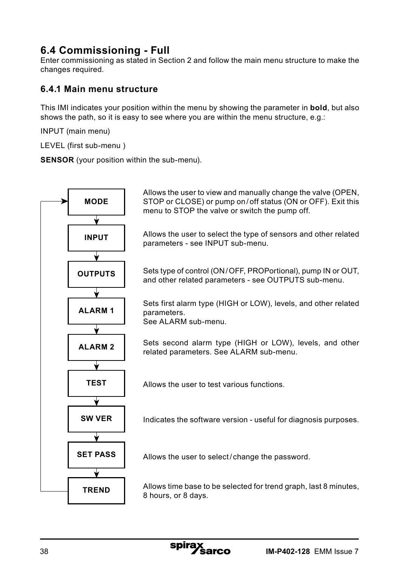## **6.4 Commissioning - Full**

Enter commissioning as stated in Section 2 and follow the main menu structure to make the changes required.

#### **6.4.1 Main menu structure**

This IMI indicates your position within the menu by showing the parameter in **bold**, but also shows the path, so it is easy to see where you are within the menu structure, e.g.:

INPUT (main menu)

LEVEL (first sub-menu )

**SENSOR** (your position within the sub-menu).

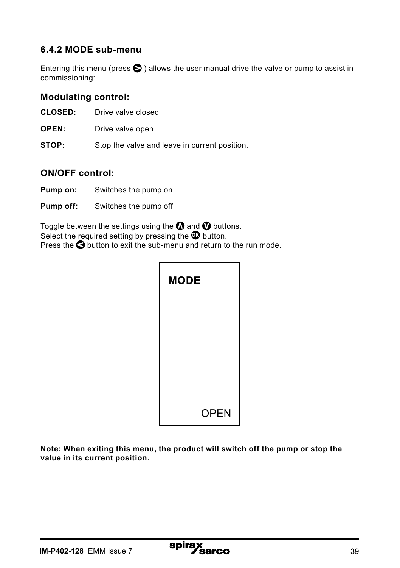#### **6.4.2 MODE sub-menu**

Entering this menu (press  $\bigcirc$ ) allows the user manual drive the valve or pump to assist in commissioning:

#### **Modulating control:**

- **CLOSED:** Drive valve closed
- **OPEN:** Drive valve open
- **STOP:** Stop the valve and leave in current position.

#### **ON/OFF control:**

- **Pump on:** Switches the pump on
- **Pump off:** Switches the pump off

Toggle between the settings using the  $\Omega$  and  $\Omega$  buttons. Select the required setting by pressing the **O** button. Press the **O** button to exit the sub-menu and return to the run mode.

| <b>MODE</b> |             |
|-------------|-------------|
|             |             |
|             |             |
|             |             |
|             | <b>OPEN</b> |

**Note: When exiting this menu, the product will switch off the pump or stop the value in its current position.**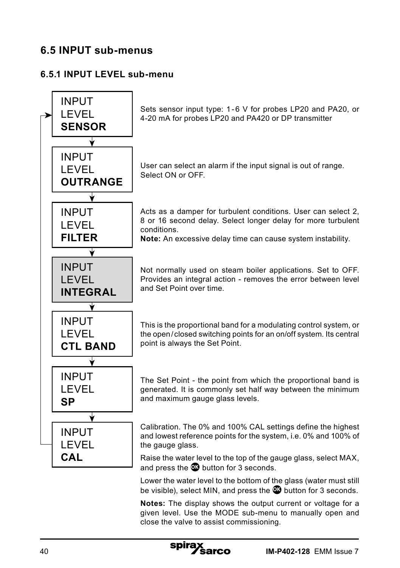## **6.5 INPUT sub-menus**

#### **6.5.1 INPUT LEVEL sub-menu**



spira:

**Notes:** The display shows the output current or voltage for a given level. Use the MODE sub-menu to manually open and close the valve to assist commissioning.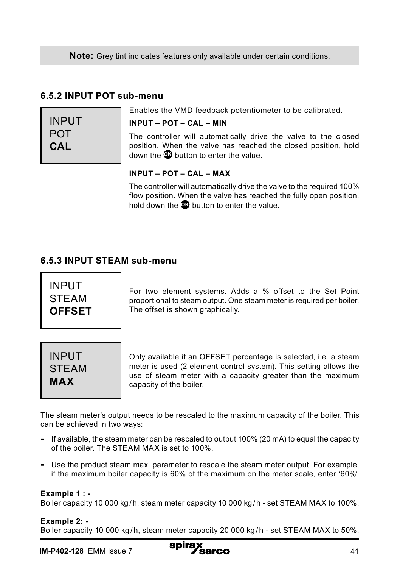**Note:** Grey tint indicates features only available under certain conditions.

#### **6.5.2 INPUT POT sub-menu**

| INPUT |  |
|-------|--|
| POT   |  |
| CAL   |  |

#### Enables the VMD feedback potentiometer to be calibrated.

#### **INPUT – POT – CAL – MIN**

The controller will automatically drive the valve to the closed position. When the valve has reached the closed position, hold down the **OK** button to enter the value.

#### **INPUT – POT – CAL – MAX**

The controller will automatically drive the valve to the required 100% flow position. When the valve has reached the fully open position. hold down the **OK** button to enter the value.

#### **6.5.3 INPUT STEAM sub-menu**

INPUT **STEAM OFFSET**

For two element systems. Adds a % offset to the Set Point proportional to steam output. One steam meter is required per boiler. The offset is shown graphically.



Only available if an OFFSET percentage is selected, i.e. a steam meter is used (2 element control system). This setting allows the use of steam meter with a capacity greater than the maximum capacity of the boiler.

The steam meter's output needs to be rescaled to the maximum capacity of the boiler. This can be achieved in two ways:

- **-** If available, the steam meter can be rescaled to output 100% (20 mA) to equal the capacity of the boiler. The STEAM MAX is set to 100%.
- **-** Use the product steam max. parameter to rescale the steam meter output. For example, if the maximum boiler capacity is 60% of the maximum on the meter scale, enter '60%'.

#### **Example 1 : -**

Boiler capacity 10 000 kg/h, steam meter capacity 10 000 kg/h - set STEAM MAX to 100%.

#### **Example 2: -**

Boiler capacity 10 000 kg/h, steam meter capacity 20 000 kg/h - set STEAM MAX to 50%.

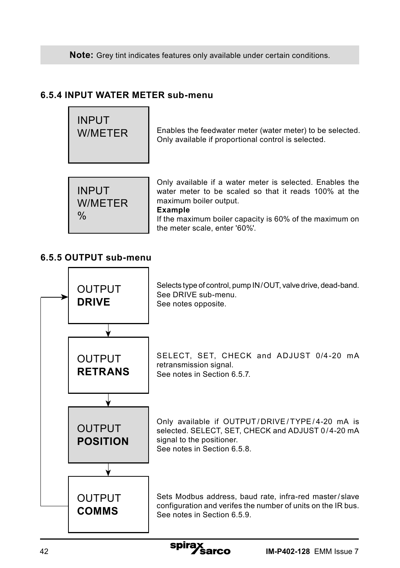**Note:** Grey tint indicates features only available under certain conditions.

#### **6.5.4 INPUT WATER METER sub-menu**



Only available if a water meter is selected. Enables the water meter to be scaled so that it reads 100% at the maximum boiler output.

#### **Example**

If the maximum boiler capacity is 60% of the maximum on the meter scale, enter '60%'.

#### **6.5.5 OUTPUT sub-menu**

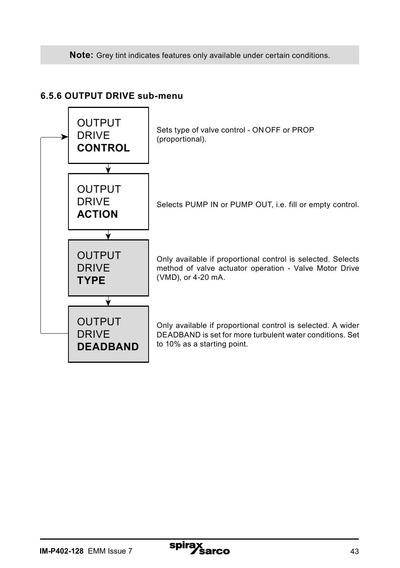**Note:** Grey tint indicates features only available under certain conditions.

#### **6.5.6 OUTPUT DRIVE sub-menu**

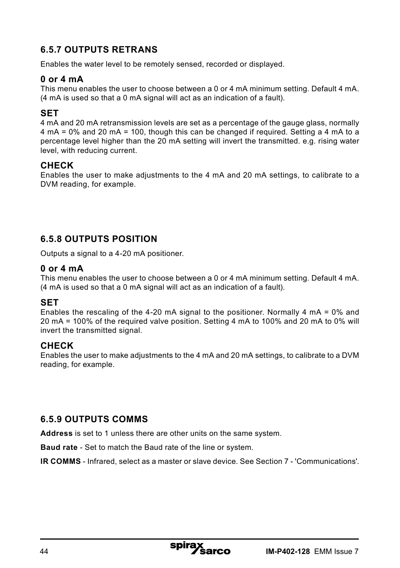### **6.5.7 OUTPUTS RETRANS**

Enables the water level to be remotely sensed, recorded or displayed.

#### **0 or 4 mA**

This menu enables the user to choose between a 0 or 4 mA minimum setting. Default 4 mA. (4 mA is used so that a 0 mA signal will act as an indication of a fault).

#### **SET**

4 mA and 20 mA retransmission levels are set as a percentage of the gauge glass, normally 4 mA = 0% and 20 mA = 100, though this can be changed if required. Setting a 4 mA to a percentage level higher than the 20 mA setting will invert the transmitted. e.g. rising water level, with reducing current.

#### **CHECK**

Enables the user to make adjustments to the 4 mA and 20 mA settings, to calibrate to a DVM reading, for example.

#### **6.5.8 OUTPUTS POSITION**

Outputs a signal to a 4-20 mA positioner.

#### **0 or 4 mA**

This menu enables the user to choose between a 0 or 4 mA minimum setting. Default 4 mA. (4 mA is used so that a 0 mA signal will act as an indication of a fault).

#### **SET**

Enables the rescaling of the 4-20 mA signal to the positioner. Normally 4 mA =  $0\%$  and 20 mA = 100% of the required valve position. Setting 4 mA to 100% and 20 mA to 0% will invert the transmitted signal.

#### **CHECK**

Enables the user to make adjustments to the 4 mA and 20 mA settings, to calibrate to a DVM reading, for example.

#### **6.5.9 OUTPUTS COMMS**

**Address** is set to 1 unless there are other units on the same system.

**Baud rate** - Set to match the Baud rate of the line or system.

**IR COMMS** - Infrared, select as a master or slave device. See Section 7 - 'Communications'.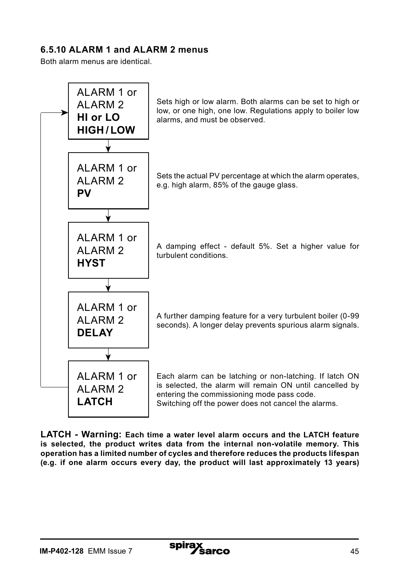#### **6.5.10 ALARM 1 and ALARM 2 menus**

Both alarm menus are identical.



**LATCH - Warning: Each time a water level alarm occurs and the LATCH feature is selected, the product writes data from the internal non-volatile memory. This operation has a limited number of cycles and therefore reduces the products lifespan (e.g. if one alarm occurs every day, the product will last approximately 13 years)**

spira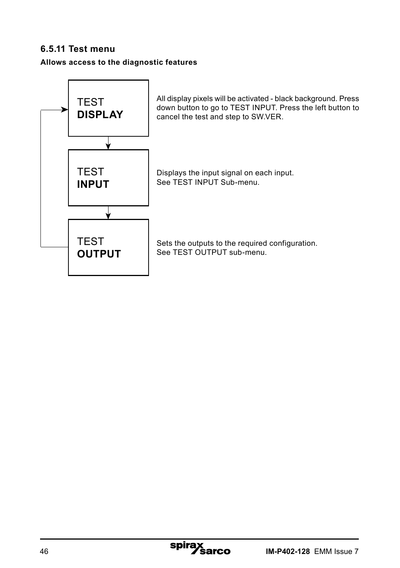#### **6.5.11 Test menu**

**Allows access to the diagnostic features**

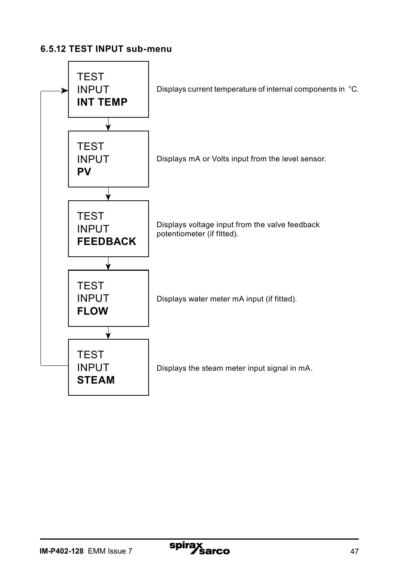#### **6.5.12 TEST INPUT sub-menu**

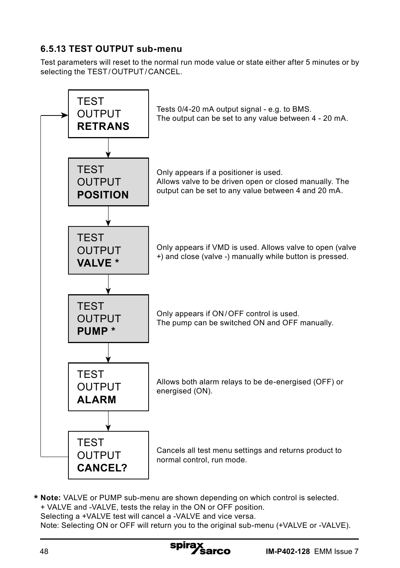### **6.5.13 TEST OUTPUT sub-menu**

Test parameters will reset to the normal run mode value or state either after 5 minutes or by selecting the TEST/OUTPUT/CANCEL.



**Note:** VALVE or PUMP sub-menu are shown depending on which control is selected. **\***+ VALVE and -VALVE, tests the relay in the ON or OFF position. Selecting a +VALVE test will cancel a -VALVE and vice versa. Note: Selecting ON or OFF will return you to the original sub-menu (+VALVE or -VALVE).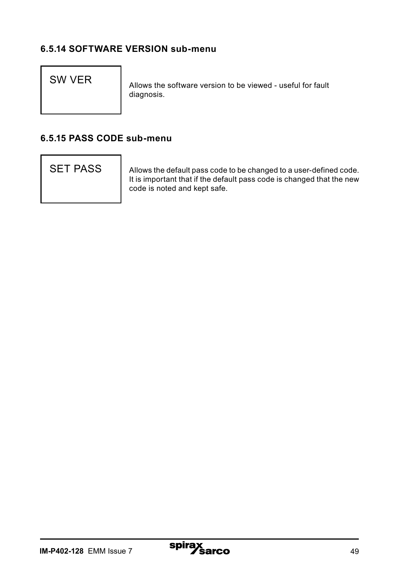#### **6.5.14 SOFTWARE VERSION sub-menu**

SW VER Allows the software version to be viewed - useful for fault diagnosis.

#### **6.5.15 PASS CODE sub-menu**

SET PASS | Allows the default pass code to be changed to a user-defined code. It is important that if the default pass code is changed that the new code is noted and kept safe.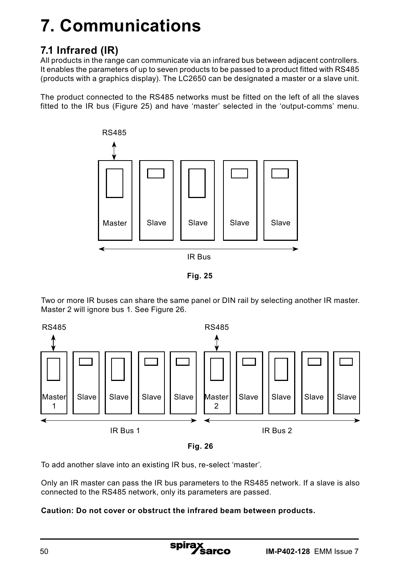# **7. Communications**

## **7.1 Infrared (IR)**

All products in the range can communicate via an infrared bus between adjacent controllers. It enables the parameters of up to seven products to be passed to a product fitted with RS485 (products with a graphics display). The LC2650 can be designated a master or a slave unit.

The product connected to the RS485 networks must be fitted on the left of all the slaves fitted to the IR bus (Figure 25) and have 'master' selected in the 'output-comms' menu.



**Fig. 25**

Two or more IR buses can share the same panel or DIN rail by selecting another IR master. Master 2 will ignore bus 1. See Figure 26.





To add another slave into an existing IR bus, re-select 'master'.

Only an IR master can pass the IR bus parameters to the RS485 network. If a slave is also connected to the RS485 network, only its parameters are passed.

#### **Caution: Do not cover or obstruct the infrared beam between products.**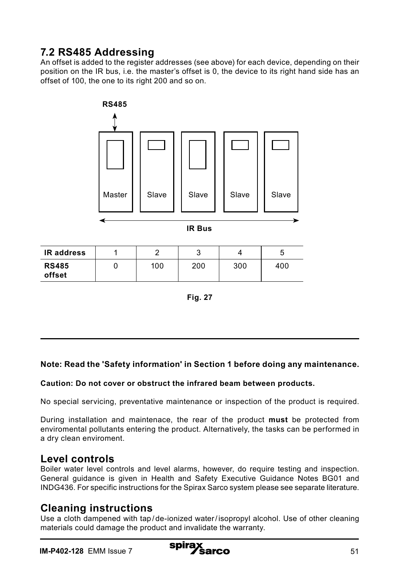## **7.2 RS485 Addressing**

An offset is added to the register addresses (see above) for each device, depending on their position on the IR bus, i.e. the master's offset is 0, the device to its right hand side has an offset of 100, the one to its right 200 and so on.



**IR Bus**

| <b>IR address</b>      |     |     |     |     |
|------------------------|-----|-----|-----|-----|
| <b>RS485</b><br>offset | 100 | 200 | 300 | 400 |



#### **Note: Read the 'Safety information' in Section 1 before doing any maintenance.**

#### **Caution: Do not cover or obstruct the infrared beam between products.**

No special servicing, preventative maintenance or inspection of the product is required.

During installation and maintenace, the rear of the product **must** be protected from enviromental pollutants entering the product. Alternatively, the tasks can be performed in a dry clean enviroment.

### **Level controls**

Boiler water level controls and level alarms, however, do require testing and inspection. General guidance is given in Health and Safety Executive Guidance Notes BG01 and INDG436. For specific instructions for the Spirax Sarco system please see separate literature.

#### **Cleaning instructions**

Use a cloth dampened with tap / de-ionized water/ isopropyl alcohol. Use of other cleaning materials could damage the product and invalidate the warranty.

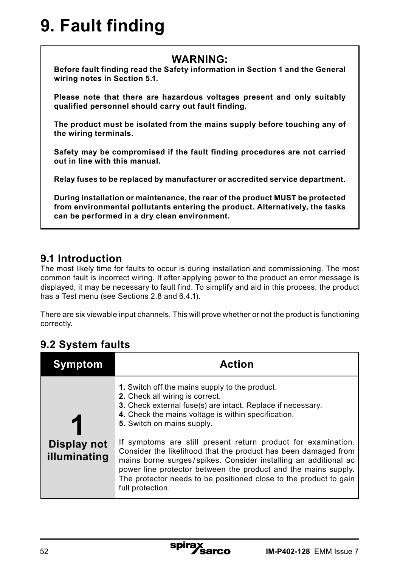# **9. Fault finding**

## **WARNING:**

**Before fault finding read the Safety information in Section 1 and the General wiring notes in Section 5.1.**

**Please note that there are hazardous voltages present and only suitably qualified personnel should carry out fault finding.**

**The product must be isolated from the mains supply before touching any of the wiring terminals.**

**Safety may be compromised if the fault finding procedures are not carried out in line with this manual.**

**Relay fuses to be replaced by manufacturer or accredited service department.**

**During installation or maintenance, the rear of the product MUST be protected from environmental pollutants entering the product. Alternatively, the tasks can be performed in a dry clean environment.**

## **9.1 Introduction**

The most likely time for faults to occur is during installation and commissioning. The most common fault is incorrect wiring. If after applying power to the product an error message is displayed, it may be necessary to fault find. To simplify and aid in this process, the product has a Test menu (see Sections 2.8 and 6.4.1).

There are six viewable input channels. This will prove whether or not the product is functioning correctly.

## **9.2 System faults**

| /mptom                      | Action                                                                                                                                                                                                                                                                                                                                                                                                                                                                                                                                                                                                 |
|-----------------------------|--------------------------------------------------------------------------------------------------------------------------------------------------------------------------------------------------------------------------------------------------------------------------------------------------------------------------------------------------------------------------------------------------------------------------------------------------------------------------------------------------------------------------------------------------------------------------------------------------------|
| Display not<br>illuminating | 1. Switch off the mains supply to the product.<br>2. Check all wiring is correct.<br>3. Check external fuse(s) are intact. Replace if necessary.<br>4. Check the mains voltage is within specification.<br>5. Switch on mains supply.<br>If symptoms are still present return product for examination.<br>Consider the likelihood that the product has been damaged from<br>mains borne surges/spikes. Consider installing an additional ac<br>power line protector between the product and the mains supply.<br>The protector needs to be positioned close to the product to gain<br>full protection. |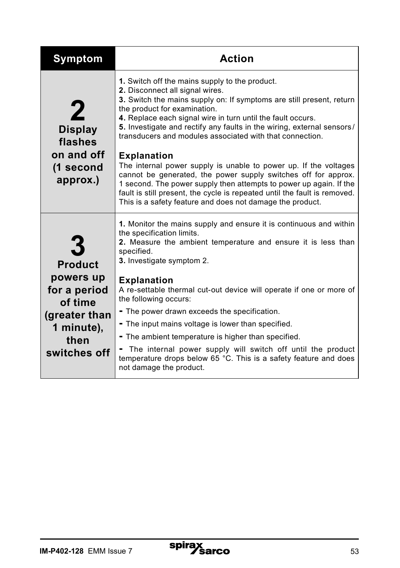| <b>Symptom</b>                                                                              | <b>Action</b>                                                                                                                                                                                                                                                                                                                                                                                                                                                                            |
|---------------------------------------------------------------------------------------------|------------------------------------------------------------------------------------------------------------------------------------------------------------------------------------------------------------------------------------------------------------------------------------------------------------------------------------------------------------------------------------------------------------------------------------------------------------------------------------------|
| $\boldsymbol{2}$<br><b>Display</b><br>flashes<br>on and off<br>(1 second                    | 1. Switch off the mains supply to the product.<br>2. Disconnect all signal wires.<br>3. Switch the mains supply on: If symptoms are still present, return<br>the product for examination.<br>4. Replace each signal wire in turn until the fault occurs.<br>5. Investigate and rectify any faults in the wiring, external sensors/<br>transducers and modules associated with that connection.<br><b>Explanation</b><br>The internal power supply is unable to power up. If the voltages |
| approx.)                                                                                    | cannot be generated, the power supply switches off for approx.<br>1 second. The power supply then attempts to power up again. If the<br>fault is still present, the cycle is repeated until the fault is removed.<br>This is a safety feature and does not damage the product.                                                                                                                                                                                                           |
| <b>Product</b>                                                                              | 1. Monitor the mains supply and ensure it is continuous and within<br>the specification limits.<br>2. Measure the ambient temperature and ensure it is less than<br>specified.<br>3. Investigate symptom 2.                                                                                                                                                                                                                                                                              |
| powers up<br>for a period<br>of time<br>(greater than<br>1 minute),<br>then<br>switches off | <b>Explanation</b><br>A re-settable thermal cut-out device will operate if one or more of<br>the following occurs:<br>- The power drawn exceeds the specification.<br>- The input mains voltage is lower than specified.                                                                                                                                                                                                                                                                 |
|                                                                                             | - The ambient temperature is higher than specified.<br>The internal power supply will switch off until the product<br>temperature drops below 65 °C. This is a safety feature and does<br>not damage the product.                                                                                                                                                                                                                                                                        |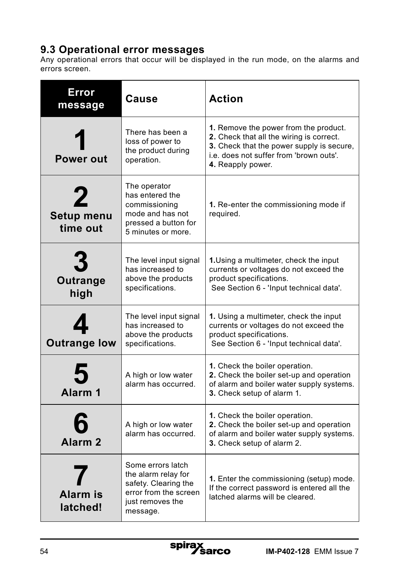## **9.3 Operational error messages**

Any operational errors that occur will be displayed in the run mode, on the alarms and errors screen.

| <b>Error</b><br>message                      | Cause                                                                                                                     | <b>Action</b>                                                                                                                                                                                         |
|----------------------------------------------|---------------------------------------------------------------------------------------------------------------------------|-------------------------------------------------------------------------------------------------------------------------------------------------------------------------------------------------------|
| Power out                                    | There has been a<br>loss of power to<br>the product during<br>operation.                                                  | 1. Remove the power from the product.<br>2. Check that all the wiring is correct.<br><b>3.</b> Check that the power supply is secure,<br>i.e. does not suffer from 'brown outs'.<br>4. Reapply power. |
| $\mathbf 2$<br><b>Setup menu</b><br>time out | The operator<br>has entered the<br>commissioning<br>mode and has not<br>pressed a button for<br>5 minutes or more.        | 1. Re-enter the commissioning mode if<br>required.                                                                                                                                                    |
| <b>Outrange</b><br>high                      | The level input signal<br>has increased to<br>above the products<br>specifications.                                       | 1. Using a multimeter, check the input<br>currents or voltages do not exceed the<br>product specifications.<br>See Section 6 - 'Input technical data'.                                                |
| <b>Outrange low</b>                          | The level input signal<br>has increased to<br>above the products<br>specifications.                                       | 1. Using a multimeter, check the input<br>currents or voltages do not exceed the<br>product specifications.<br>See Section 6 - 'Input technical data'.                                                |
| 5<br>Alarm <sub>1</sub>                      | A high or low water<br>alarm has occurred.                                                                                | 1. Check the boiler operation.<br>2. Check the boiler set-up and operation<br>of alarm and boiler water supply systems.<br>3. Check setup of alarm 1.                                                 |
| Alarm <sub>2</sub>                           | A high or low water<br>alarm has occurred.                                                                                | 1. Check the boiler operation.<br>2. Check the boiler set-up and operation<br>of alarm and boiler water supply systems.<br>3. Check setup of alarm 2.                                                 |
| <b>Alarm is</b><br>latched!                  | Some errors latch<br>the alarm relay for<br>safety. Clearing the<br>error from the screen<br>just removes the<br>message. | 1. Enter the commissioning (setup) mode.<br>If the correct password is entered all the<br>latched alarms will be cleared.                                                                             |

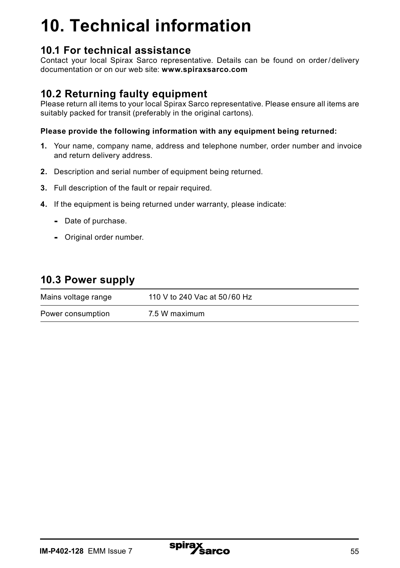# **10. Technical information**

## **10.1 For technical assistance**

Contact your local Spirax Sarco representative. Details can be found on order/ delivery documentation or on our web site: **www.spiraxsarco.com**

## **10.2 Returning faulty equipment**

Please return all items to your local Spirax Sarco representative. Please ensure all items are suitably packed for transit (preferably in the original cartons).

#### **Please provide the following information with any equipment being returned:**

- **1.** Your name, company name, address and telephone number, order number and invoice and return delivery address.
- **2.** Description and serial number of equipment being returned.
- **3.** Full description of the fault or repair required.
- **4.** If the equipment is being returned under warranty, please indicate:
	- Date of purchase.
	- Original order number.

## **10.3 Power supply**

| Mains voltage range | 110 V to 240 Vac at 50/60 Hz |
|---------------------|------------------------------|
| Power consumption   | 7.5 W maximum                |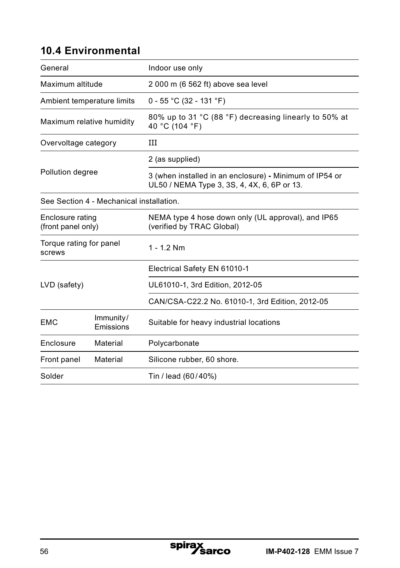## **10.4 Environmental**

| General                                  |                        | Indoor use only                                                                                        |  |  |
|------------------------------------------|------------------------|--------------------------------------------------------------------------------------------------------|--|--|
| Maximum altitude                         |                        | 2 000 m (6 562 ft) above sea level                                                                     |  |  |
| Ambient temperature limits               |                        | $0 - 55$ °C (32 - 131 °F)                                                                              |  |  |
| Maximum relative humidity                |                        | 80% up to 31 °C (88 °F) decreasing linearly to 50% at<br>40 °C (104 °F)                                |  |  |
| Overvoltage category                     |                        | Ш                                                                                                      |  |  |
| Pollution degree                         |                        | 2 (as supplied)                                                                                        |  |  |
|                                          |                        | 3 (when installed in an enclosure) - Minimum of IP54 or<br>UL50 / NEMA Type 3, 3S, 4, 4X, 6, 6P or 13. |  |  |
| See Section 4 - Mechanical installation. |                        |                                                                                                        |  |  |
| Enclosure rating<br>(front panel only)   |                        | NEMA type 4 hose down only (UL approval), and IP65<br>(verified by TRAC Global)                        |  |  |
| Torque rating for panel<br>screws        |                        | $1 - 12$ Nm                                                                                            |  |  |
|                                          |                        | Electrical Safety EN 61010-1                                                                           |  |  |
| LVD (safety)                             |                        | UL61010-1, 3rd Edition, 2012-05                                                                        |  |  |
|                                          |                        | CAN/CSA-C22.2 No. 61010-1, 3rd Edition, 2012-05                                                        |  |  |
| EMC                                      | Immunity/<br>Emissions | Suitable for heavy industrial locations                                                                |  |  |
| Enclosure                                | Material               | Polycarbonate                                                                                          |  |  |
| Front panel                              | Material               | Silicone rubber, 60 shore.                                                                             |  |  |
| Solder                                   |                        | Tin / lead (60/40%)                                                                                    |  |  |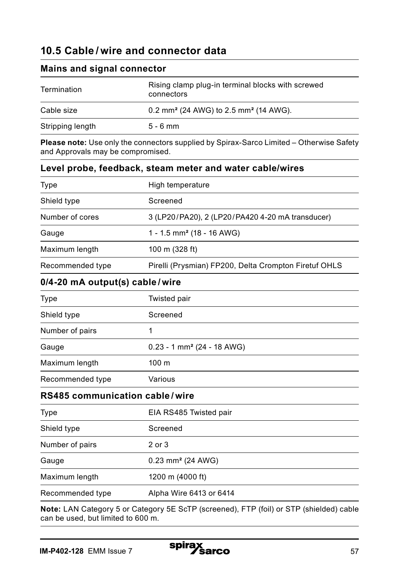## **10.5 Cable / wire and connector data**

**Mains and signal connector**

| Termination      | Rising clamp plug-in terminal blocks with screwed<br>connectors |  |
|------------------|-----------------------------------------------------------------|--|
| Cable size       | 0.2 mm <sup>2</sup> (24 AWG) to 2.5 mm <sup>2</sup> (14 AWG).   |  |
| Stripping length | $5 - 6$ mm                                                      |  |

**Please note:** Use only the connectors supplied by Spirax-Sarco Limited – Otherwise Safety and Approvals may be compromised.

| Level probe, feedback, steam meter and water cable/wires |                                                                                         |  |
|----------------------------------------------------------|-----------------------------------------------------------------------------------------|--|
| <b>Type</b>                                              | High temperature                                                                        |  |
| Shield type                                              | Screened                                                                                |  |
| Number of cores                                          | 3 (LP20/PA20), 2 (LP20/PA420 4-20 mA transducer)                                        |  |
| Gauge                                                    | 1 - 1.5 mm <sup>2</sup> (18 - 16 AWG)                                                   |  |
| Maximum length                                           | 100 m (328 ft)                                                                          |  |
| Recommended type                                         | Pirelli (Prysmian) FP200, Delta Crompton Firetuf OHLS                                   |  |
| 0/4-20 mA output(s) cable/wire                           |                                                                                         |  |
| Type                                                     | Twisted pair                                                                            |  |
| Shield type                                              | Screened                                                                                |  |
| Number of pairs                                          | 1                                                                                       |  |
| Gauge                                                    | $0.23 - 1$ mm <sup>2</sup> (24 - 18 AWG)                                                |  |
| Maximum length                                           | 100 <sub>m</sub>                                                                        |  |
| Recommended type                                         | Various                                                                                 |  |
| <b>RS485 communication cable/wire</b>                    |                                                                                         |  |
| <b>Type</b>                                              | EIA RS485 Twisted pair                                                                  |  |
| Shield type                                              | Screened                                                                                |  |
| Number of pairs                                          | 2 or 3                                                                                  |  |
| Gauge                                                    | 0.23 mm <sup>2</sup> (24 AWG)                                                           |  |
| Maximum length                                           | 1200 m (4000 ft)                                                                        |  |
| Recommended type                                         | Alpha Wire 6413 or 6414                                                                 |  |
|                                                          | Note: LAN Catagory 5 or Catagory 5E SoTD (earnonad), ETD (foil) or STD (abialded) apple |  |

**Note:** LAN Category 5 or Category 5E ScTP (screened), FTP (foil) or STP (shielded) cable can be used, but limited to 600 m.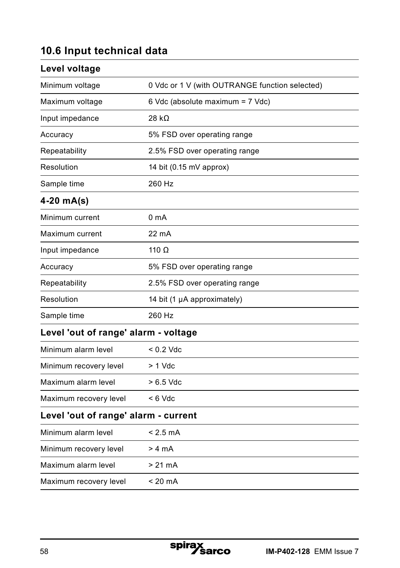## **10.6 Input technical data**

| Level voltage                        |                                                |
|--------------------------------------|------------------------------------------------|
| Minimum voltage                      | 0 Vdc or 1 V (with OUTRANGE function selected) |
| Maximum voltage                      | 6 Vdc (absolute maximum = 7 Vdc)               |
| Input impedance                      | 28 k $\Omega$                                  |
| Accuracy                             | 5% FSD over operating range                    |
| Repeatability                        | 2.5% FSD over operating range                  |
| Resolution                           | 14 bit (0.15 mV approx)                        |
| Sample time                          | 260 Hz                                         |
| $4-20$ mA(s)                         |                                                |
| Minimum current                      | 0 <sub>m</sub> A                               |
| Maximum current                      | 22 mA                                          |
| Input impedance                      | 110 $\Omega$                                   |
| Accuracy                             | 5% FSD over operating range                    |
| Repeatability                        | 2.5% FSD over operating range                  |
| Resolution                           | 14 bit (1 µA approximately)                    |
| Sample time                          | 260 Hz                                         |
| Level 'out of range' alarm - voltage |                                                |
| Minimum alarm level                  | $< 0.2$ Vdc                                    |
| Minimum recovery level               | $> 1$ Vdc                                      |
| Maximum alarm level                  | $>6.5$ Vdc                                     |
| Maximum recovery level               | $< 6$ Vdc                                      |
| Level 'out of range' alarm - current |                                                |
| Minimum alarm level                  | $< 2.5 \text{ mA}$                             |
| Minimum recovery level               | > 4 mA                                         |
| Maximum alarm level                  | > 21 mA                                        |
| Maximum recovery level               | < 20 mA                                        |
|                                      |                                                |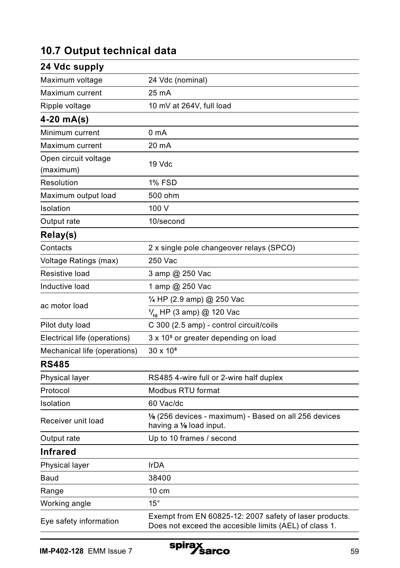## **10.7 Output technical data**

| 24 Vdc supply                |                                                                                                                   |
|------------------------------|-------------------------------------------------------------------------------------------------------------------|
| Maximum voltage              | 24 Vdc (nominal)                                                                                                  |
| Maximum current              | 25 mA                                                                                                             |
| Ripple voltage               | 10 mV at 264V, full load                                                                                          |
| $4-20$ mA(s)                 |                                                                                                                   |
| Minimum current              | 0 mA                                                                                                              |
| Maximum current              | 20 mA                                                                                                             |
| Open circuit voltage         | 19 Vdc                                                                                                            |
| (maximum)                    |                                                                                                                   |
| Resolution                   | 1% FSD                                                                                                            |
| Maximum output load          | 500 ohm                                                                                                           |
| Isolation                    | 100 V                                                                                                             |
| Output rate                  | 10/second                                                                                                         |
| Relay(s)                     |                                                                                                                   |
| Contacts                     | 2 x single pole changeover relays (SPCO)                                                                          |
| Voltage Ratings (max)        | 250 Vac                                                                                                           |
| Resistive load               | 3 amp @ 250 Vac                                                                                                   |
| Inductive load               | 1 amp @ 250 Vac                                                                                                   |
|                              | 1/4 HP (2.9 amp) @ 250 Vac                                                                                        |
| ac motor load                | $\frac{1}{10}$ HP (3 amp) @ 120 Vac                                                                               |
| Pilot duty load              | C 300 (2.5 amp) - control circuit/coils                                                                           |
| Electrical life (operations) | 3 x 10 <sup>5</sup> or greater depending on load                                                                  |
| Mechanical life (operations) | 30 x 10 <sup>6</sup>                                                                                              |
| <b>RS485</b>                 |                                                                                                                   |
| Physical layer               | RS485 4-wire full or 2-wire half duplex                                                                           |
| Protocol                     | Modbus RTU format                                                                                                 |
| Isolation                    | 60 Vac/dc                                                                                                         |
| Receiver unit load           | 1/8 (256 devices - maximum) - Based on all 256 devices<br>having a 1/8 load input.                                |
| Output rate                  | Up to 10 frames / second                                                                                          |
| <b>Infrared</b>              |                                                                                                                   |
| Physical layer               | <b>IrDA</b>                                                                                                       |
| Baud                         | 38400                                                                                                             |
| Range                        | 10 cm                                                                                                             |
| Working angle                | $15^{\circ}$                                                                                                      |
| Eye safety information       | Exempt from EN 60825-12: 2007 safety of laser products.<br>Does not exceed the accesible limits (AEL) of class 1. |

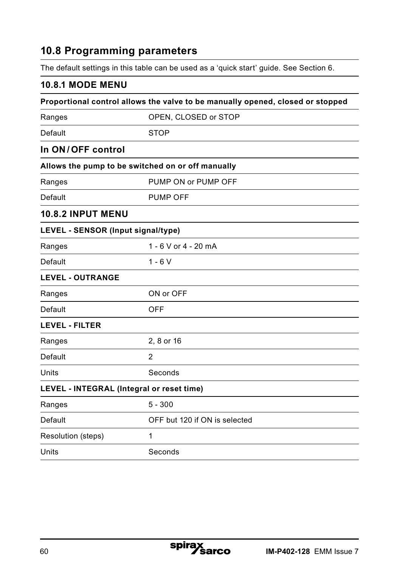## **10.8 Programming parameters**

The default settings in this table can be used as a 'quick start' guide. See Section 6.

## **10.8.1 MODE MENU**

| Proportional control allows the valve to be manually opened, closed or stopped |                                                   |  |
|--------------------------------------------------------------------------------|---------------------------------------------------|--|
| Ranges                                                                         | OPEN, CLOSED or STOP                              |  |
| Default                                                                        | <b>STOP</b>                                       |  |
| In ON/OFF control                                                              |                                                   |  |
|                                                                                | Allows the pump to be switched on or off manually |  |
| Ranges                                                                         | PUMP ON or PUMP OFF                               |  |
| Default                                                                        | <b>PUMP OFF</b>                                   |  |
| <b>10.8.2 INPUT MENU</b>                                                       |                                                   |  |
| LEVEL - SENSOR (Input signal/type)                                             |                                                   |  |
| Ranges                                                                         | 1 - 6 V or 4 - 20 mA                              |  |
| Default                                                                        | $1 - 6V$                                          |  |
| <b>LEVEL - OUTRANGE</b>                                                        |                                                   |  |
| Ranges                                                                         | ON or OFF                                         |  |
| Default                                                                        | <b>OFF</b>                                        |  |
| <b>LEVEL - FILTER</b>                                                          |                                                   |  |
| Ranges                                                                         | 2, 8 or 16                                        |  |
| Default                                                                        | 2                                                 |  |
| Units                                                                          | Seconds                                           |  |
| LEVEL - INTEGRAL (Integral or reset time)                                      |                                                   |  |
| Ranges                                                                         | $5 - 300$                                         |  |
| Default                                                                        | OFF but 120 if ON is selected                     |  |
| Resolution (steps)                                                             | 1                                                 |  |
| Units                                                                          | Seconds                                           |  |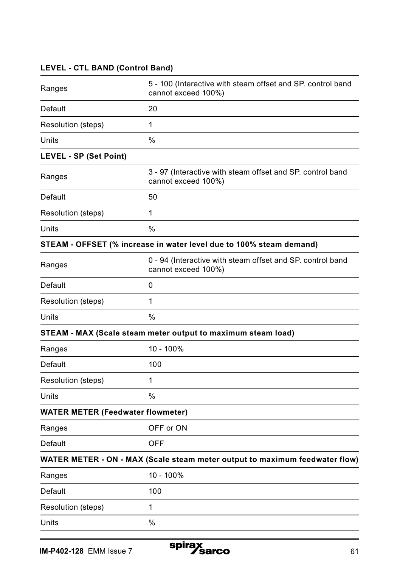| <b>LEVEL - CTL BAND (Control Band)</b>   |                                                                                    |
|------------------------------------------|------------------------------------------------------------------------------------|
| Ranges                                   | 5 - 100 (Interactive with steam offset and SP. control band<br>cannot exceed 100%) |
| Default                                  | 20                                                                                 |
| Resolution (steps)                       | 1                                                                                  |
| Units                                    | %                                                                                  |
| LEVEL - SP (Set Point)                   |                                                                                    |
| Ranges                                   | 3 - 97 (Interactive with steam offset and SP. control band<br>cannot exceed 100%)  |
| Default                                  | 50                                                                                 |
| Resolution (steps)                       | 1                                                                                  |
| Units                                    | $\frac{0}{0}$                                                                      |
|                                          | STEAM - OFFSET (% increase in water level due to 100% steam demand)                |
| Ranges                                   | 0 - 94 (Interactive with steam offset and SP, control band<br>cannot exceed 100%)  |
| Default                                  | 0                                                                                  |
| Resolution (steps)                       | 1                                                                                  |
| Units                                    | %                                                                                  |
|                                          | STEAM - MAX (Scale steam meter output to maximum steam load)                       |
| Ranges                                   | 10 - 100%                                                                          |
| Default                                  | 100                                                                                |
| Resolution (steps)                       | 1                                                                                  |
| Units                                    | %                                                                                  |
| <b>WATER METER (Feedwater flowmeter)</b> |                                                                                    |
| Ranges                                   | OFF or ON                                                                          |
| Default                                  | OFF                                                                                |
|                                          | WATER METER - ON - MAX (Scale steam meter output to maximum feedwater flow)        |
| Ranges                                   | 10 - 100%                                                                          |
| Default                                  | 100                                                                                |
| Resolution (steps)                       | 1                                                                                  |
| Units                                    | $\frac{0}{0}$                                                                      |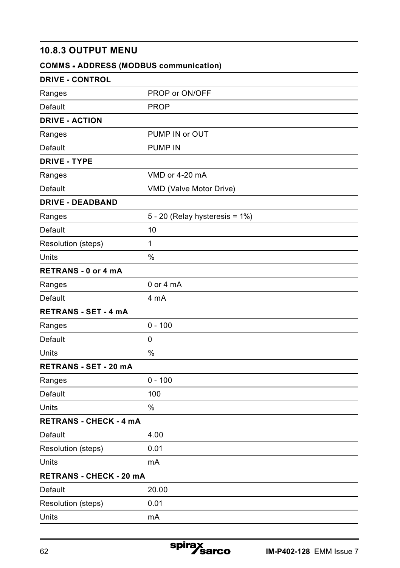## **10.8.3 OUTPUT MENU**

| <b>COMMS - ADDRESS (MODBUS communication)</b> |                                |
|-----------------------------------------------|--------------------------------|
| <b>DRIVE - CONTROL</b>                        |                                |
| Ranges                                        | PROP or ON/OFF                 |
| Default                                       | <b>PROP</b>                    |
| <b>DRIVE - ACTION</b>                         |                                |
| Ranges                                        | PUMP IN or OUT                 |
| Default                                       | <b>PUMP IN</b>                 |
| <b>DRIVE - TYPE</b>                           |                                |
| Ranges                                        | VMD or 4-20 mA                 |
| Default                                       | VMD (Valve Motor Drive)        |
| <b>DRIVE - DEADBAND</b>                       |                                |
| Ranges                                        | 5 - 20 (Relay hysteresis = 1%) |
| Default                                       | 10                             |
| Resolution (steps)                            | 1                              |
| Units                                         | %                              |
| <b>RETRANS - 0 or 4 mA</b>                    |                                |
| Ranges                                        | $0$ or $4$ mA                  |
| Default                                       | 4 mA                           |
| <b>RETRANS - SET - 4 mA</b>                   |                                |
| Ranges                                        | $0 - 100$                      |
| Default                                       | 0                              |
| Units                                         | %                              |
| <b>RETRANS - SET - 20 mA</b>                  |                                |
| Ranges                                        | $0 - 100$                      |
| Default                                       | 100                            |
| Units                                         | %                              |
| <b>RETRANS - CHECK - 4 mA</b>                 |                                |
| Default                                       | 4.00                           |
| Resolution (steps)                            | 0.01                           |
| Units                                         | mA                             |
| <b>RETRANS - CHECK - 20 MA</b>                |                                |
| Default                                       | 20.00                          |
| Resolution (steps)                            | 0.01                           |
| Units                                         | mA                             |

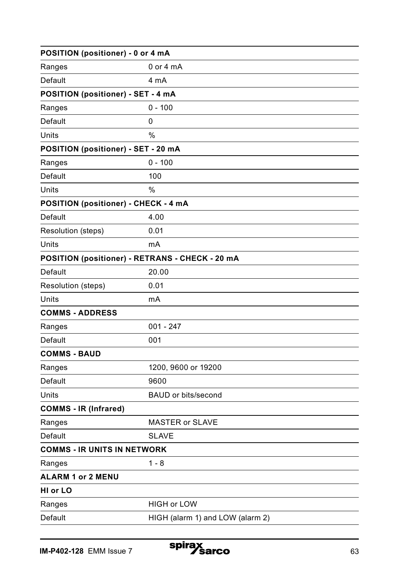| POSITION (positioner) - 0 or 4 mA               |                                  |  |
|-------------------------------------------------|----------------------------------|--|
| Ranges                                          | $0$ or $4$ mA                    |  |
| Default                                         | 4 mA                             |  |
| POSITION (positioner) - SET - 4 mA              |                                  |  |
| Ranges                                          | $0 - 100$                        |  |
| Default                                         | 0                                |  |
| Units                                           | %                                |  |
| POSITION (positioner) - SET - 20 mA             |                                  |  |
| Ranges                                          | $0 - 100$                        |  |
| Default                                         | 100                              |  |
| Units                                           | $\%$                             |  |
| POSITION (positioner) - CHECK - 4 mA            |                                  |  |
| Default                                         | 4.00                             |  |
| Resolution (steps)                              | 0.01                             |  |
| Units                                           | mA                               |  |
| POSITION (positioner) - RETRANS - CHECK - 20 mA |                                  |  |
| Default                                         | 20.00                            |  |
| Resolution (steps)                              | 0.01                             |  |
| Units                                           | mA                               |  |
| <b>COMMS - ADDRESS</b>                          |                                  |  |
| Ranges                                          | $001 - 247$                      |  |
| Default                                         | 001                              |  |
| <b>COMMS - BAUD</b>                             |                                  |  |
| Ranges                                          | 1200, 9600 or 19200              |  |
| Default                                         | 9600                             |  |
| Units                                           | BAUD or bits/second              |  |
| <b>COMMS - IR (Infrared)</b>                    |                                  |  |
| Ranges                                          | <b>MASTER or SLAVE</b>           |  |
| Default                                         | <b>SLAVE</b>                     |  |
| <b>COMMS - IR UNITS IN NETWORK</b>              |                                  |  |
| Ranges                                          | $1 - 8$                          |  |
| <b>ALARM 1 or 2 MENU</b>                        |                                  |  |
| HI or LO                                        |                                  |  |
| Ranges                                          | <b>HIGH or LOW</b>               |  |
| Default                                         | HIGH (alarm 1) and LOW (alarm 2) |  |
|                                                 |                                  |  |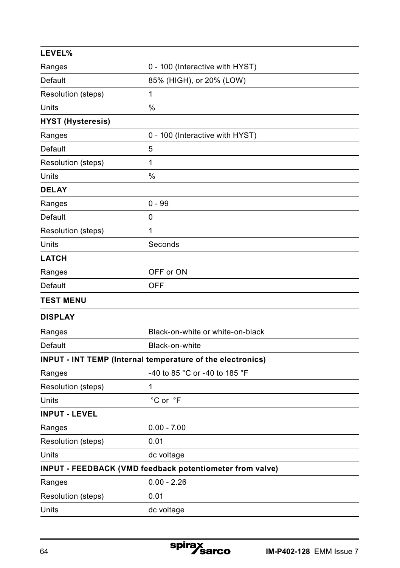| LEVEL%                   |                                                            |
|--------------------------|------------------------------------------------------------|
| Ranges                   | 0 - 100 (Interactive with HYST)                            |
| Default                  | 85% (HIGH), or 20% (LOW)                                   |
| Resolution (steps)       | 1                                                          |
| Units                    | %                                                          |
| <b>HYST (Hysteresis)</b> |                                                            |
| Ranges                   | 0 - 100 (Interactive with HYST)                            |
| Default                  | 5                                                          |
| Resolution (steps)       | 1                                                          |
| Units                    | %                                                          |
| <b>DELAY</b>             |                                                            |
| Ranges                   | $0 - 99$                                                   |
| Default                  | 0                                                          |
| Resolution (steps)       | 1                                                          |
| Units                    | Seconds                                                    |
| <b>LATCH</b>             |                                                            |
| Ranges                   | OFF or ON                                                  |
| Default                  | <b>OFF</b>                                                 |
| <b>TEST MENU</b>         |                                                            |
| <b>DISPLAY</b>           |                                                            |
| Ranges                   | Black-on-white or white-on-black                           |
| Default                  | Black-on-white                                             |
|                          | INPUT - INT TEMP (Internal temperature of the electronics) |
| Ranges                   | -40 to 85 °C or -40 to 185 °F                              |
| Resolution (steps)       | 1                                                          |
| Units                    | °C or °F                                                   |
| <b>INPUT - LEVEL</b>     |                                                            |
| Ranges                   | $0.00 - 7.00$                                              |
| Resolution (steps)       | 0.01                                                       |
| Units                    | dc voltage                                                 |
|                          | INPUT - FEEDBACK (VMD feedback potentiometer from valve)   |
| Ranges                   | $0.00 - 2.26$                                              |
| Resolution (steps)       | 0.01                                                       |
| Units                    | dc voltage                                                 |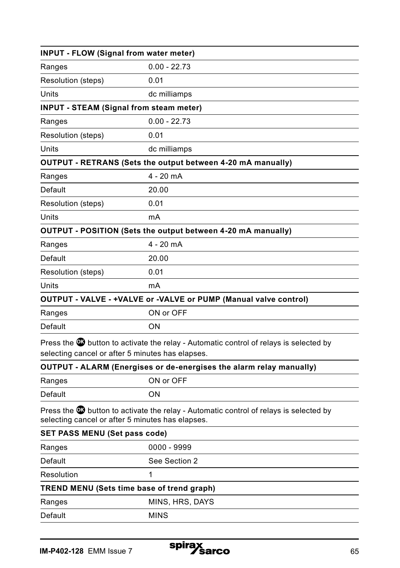| $0.00 - 22.73$<br>Ranges<br>Resolution (steps)<br>0.01<br>Units<br>dc milliamps<br><b>INPUT - STEAM (Signal from steam meter)</b><br>$0.00 - 22.73$<br>Ranges<br>Resolution (steps)<br>0.01<br>Units<br>dc milliamps<br>OUTPUT - RETRANS (Sets the output between 4-20 mA manually)<br>$4 - 20$ mA<br>Ranges<br>Default<br>20.00<br>Resolution (steps)<br>0.01<br>Units<br>mA<br>OUTPUT - POSITION (Sets the output between 4-20 mA manually)<br>4 - 20 mA<br>Ranges<br>Default<br>20.00 |
|------------------------------------------------------------------------------------------------------------------------------------------------------------------------------------------------------------------------------------------------------------------------------------------------------------------------------------------------------------------------------------------------------------------------------------------------------------------------------------------|
|                                                                                                                                                                                                                                                                                                                                                                                                                                                                                          |
|                                                                                                                                                                                                                                                                                                                                                                                                                                                                                          |
|                                                                                                                                                                                                                                                                                                                                                                                                                                                                                          |
|                                                                                                                                                                                                                                                                                                                                                                                                                                                                                          |
|                                                                                                                                                                                                                                                                                                                                                                                                                                                                                          |
|                                                                                                                                                                                                                                                                                                                                                                                                                                                                                          |
|                                                                                                                                                                                                                                                                                                                                                                                                                                                                                          |
|                                                                                                                                                                                                                                                                                                                                                                                                                                                                                          |
|                                                                                                                                                                                                                                                                                                                                                                                                                                                                                          |
|                                                                                                                                                                                                                                                                                                                                                                                                                                                                                          |
|                                                                                                                                                                                                                                                                                                                                                                                                                                                                                          |
|                                                                                                                                                                                                                                                                                                                                                                                                                                                                                          |
|                                                                                                                                                                                                                                                                                                                                                                                                                                                                                          |
|                                                                                                                                                                                                                                                                                                                                                                                                                                                                                          |
|                                                                                                                                                                                                                                                                                                                                                                                                                                                                                          |
| 0.01<br>Resolution (steps)                                                                                                                                                                                                                                                                                                                                                                                                                                                               |
| Units<br>mA                                                                                                                                                                                                                                                                                                                                                                                                                                                                              |
| OUTPUT - VALVE - +VALVE or -VALVE or PUMP (Manual valve control)                                                                                                                                                                                                                                                                                                                                                                                                                         |
| ON or OFF<br>Ranges                                                                                                                                                                                                                                                                                                                                                                                                                                                                      |
| Default<br>ON                                                                                                                                                                                                                                                                                                                                                                                                                                                                            |
| Press the <b>3</b> button to activate the relay - Automatic control of relays is selected by<br>selecting cancel or after 5 minutes has elapses.                                                                                                                                                                                                                                                                                                                                         |
| OUTPUT - ALARM (Energises or de-energises the alarm relay manually)                                                                                                                                                                                                                                                                                                                                                                                                                      |
| ON or OFF<br>Ranges                                                                                                                                                                                                                                                                                                                                                                                                                                                                      |
| Default<br>ON                                                                                                                                                                                                                                                                                                                                                                                                                                                                            |
| Press the <b>W</b> button to activate the relay - Automatic control of relays is selected by<br>selecting cancel or after 5 minutes has elapses.                                                                                                                                                                                                                                                                                                                                         |
| <b>SET PASS MENU (Set pass code)</b>                                                                                                                                                                                                                                                                                                                                                                                                                                                     |
| 0000 - 9999<br>Ranges                                                                                                                                                                                                                                                                                                                                                                                                                                                                    |
| Default<br>See Section 2                                                                                                                                                                                                                                                                                                                                                                                                                                                                 |
| Resolution<br>1                                                                                                                                                                                                                                                                                                                                                                                                                                                                          |
| TREND MENU (Sets time base of trend graph)                                                                                                                                                                                                                                                                                                                                                                                                                                               |
| MINS, HRS, DAYS<br>Ranges                                                                                                                                                                                                                                                                                                                                                                                                                                                                |
| <b>MINS</b><br>Default                                                                                                                                                                                                                                                                                                                                                                                                                                                                   |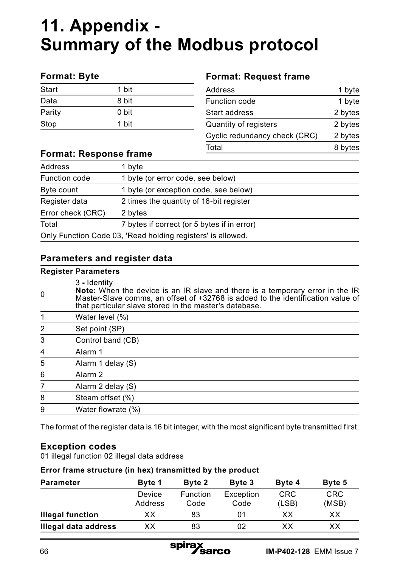## **11. Appendix - Summary of the Modbus protocol**

#### **Format: Byte**

| Start  | 1 bit |  |
|--------|-------|--|
| Data   | 8 bit |  |
| Parity | 0 bit |  |
| Stop   | 1 bit |  |

#### **Format: Request frame**

| 1 byte  |
|---------|
| 1 byte  |
| 2 bytes |
| 2 bytes |
| 2 bytes |
| 8 bytes |
|         |

#### **Format: Response frame**

| Address                                                     | 1 byte                                      |  |
|-------------------------------------------------------------|---------------------------------------------|--|
| Function code                                               | 1 byte (or error code, see below)           |  |
| Byte count                                                  | 1 byte (or exception code, see below)       |  |
| Register data                                               | 2 times the quantity of 16-bit register     |  |
| Error check (CRC)                                           | 2 bytes                                     |  |
| Total                                                       | 7 bytes if correct (or 5 bytes if in error) |  |
| Only Function Code 03, 'Read holding registers' is allowed. |                                             |  |

#### **Parameters and register data**

#### **Register Parameters**

| $\Omega$       | $3 -$ Identity<br>Note: When the device is an IR slave and there is a temporary error in the IR Master-Slave comms, an offset of +32768 is added to the identification value of<br>that particular slave stored in the master's database. |
|----------------|-------------------------------------------------------------------------------------------------------------------------------------------------------------------------------------------------------------------------------------------|
|                | Water level (%)                                                                                                                                                                                                                           |
| $\overline{2}$ | Set point (SP)                                                                                                                                                                                                                            |
| 3              | Control band (CB)                                                                                                                                                                                                                         |
| $\overline{4}$ | Alarm 1                                                                                                                                                                                                                                   |
| 5              | Alarm 1 delay (S)                                                                                                                                                                                                                         |
| 6              | Alarm <sub>2</sub>                                                                                                                                                                                                                        |
| 7              | Alarm 2 delay (S)                                                                                                                                                                                                                         |
| 8              | Steam offset (%)                                                                                                                                                                                                                          |
| 9              | Water flowrate (%)                                                                                                                                                                                                                        |
|                |                                                                                                                                                                                                                                           |

The format of the register data is 16 bit integer, with the most significant byte transmitted first.

#### **Exception codes**

01 illegal function 02 illegal data address

#### **Error frame structure (in hex) transmitted by the product**

| <b>Parameter</b>        | Byte 1  | Byte 2   | Byte 3    | Byte 4     | Byte 5     |
|-------------------------|---------|----------|-----------|------------|------------|
|                         | Device  | Function | Exception | <b>CRC</b> | <b>CRC</b> |
|                         | Address | Code     | Code      | (LSB)      | (MSB)      |
| <b>Illegal function</b> | xх      | 83       | 01        | ХX         | xх         |
| Illegal data address    | xх      | 83       | 02        | ХX         | xх         |

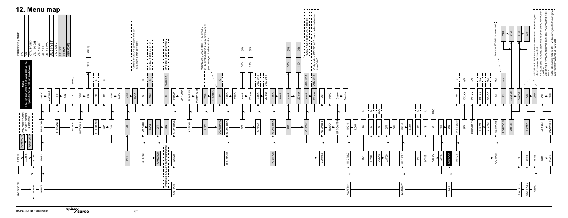